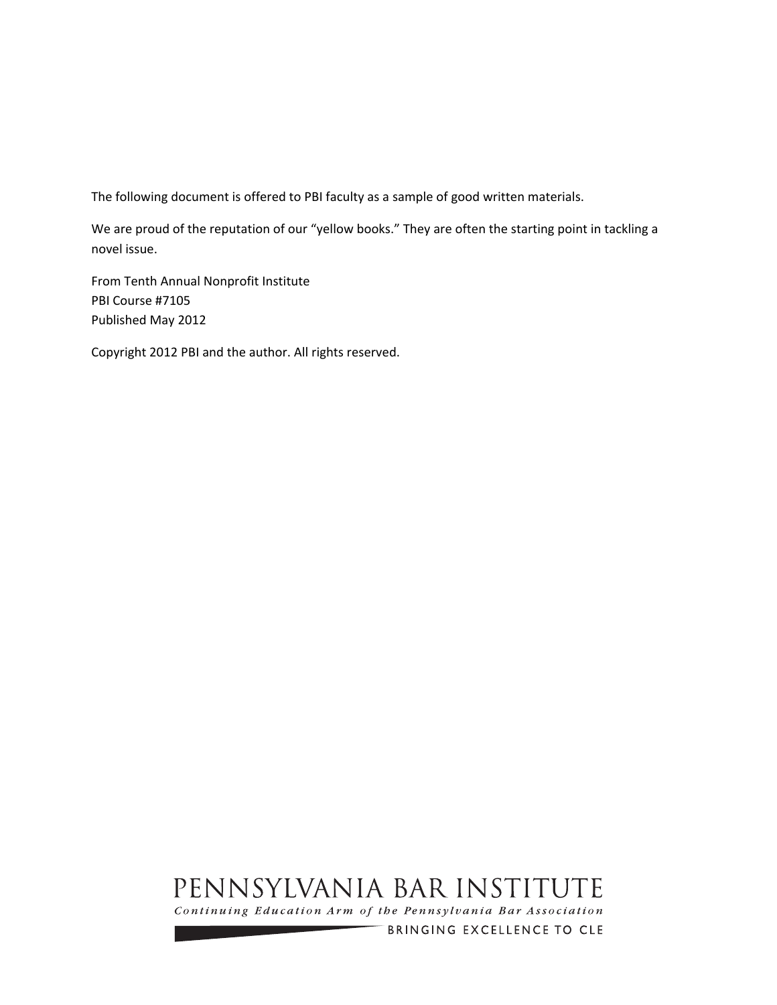The following document is offered to PBI faculty as a sample of good written materials.

We are proud of the reputation of our "yellow books." They are often the starting point in tackling a novel issue.

From Tenth Annual Nonprofit Institute PBI Course #7105 Published May 2012

Copyright 2012 PBI and the author. All rights reserved.

# PENNSYLVANIA BAR INSTITUTE

Continuing Education Arm of the Pennsylvania Bar Association

BRINGING EXCELLENCE TO CLE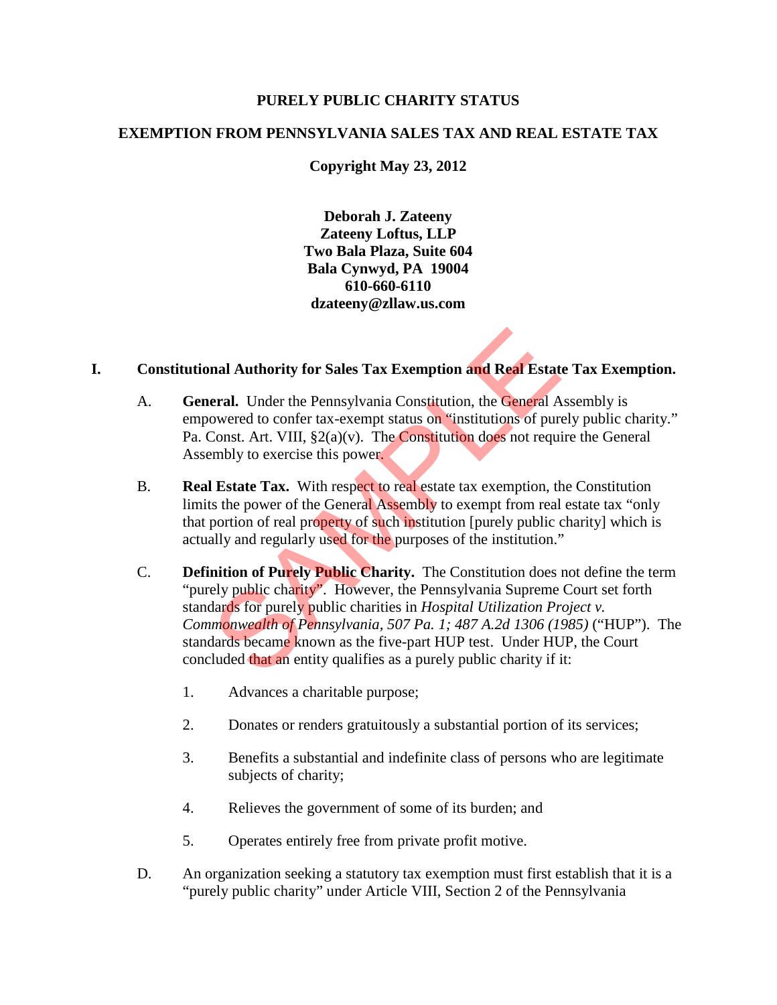#### **PURELY PUBLIC CHARITY STATUS**

#### **EXEMPTION FROM PENNSYLVANIA SALES TAX AND REAL ESTATE TAX**

## **Copyright May 23, 2012**

**Deborah J. Zateeny Zateeny Loftus, LLP Two Bala Plaza, Suite 604 Bala Cynwyd, PA 19004 610-660-6110 dzateeny@zllaw.us.com** 

#### **I. Constitutional Authority for Sales Tax Exemption and Real Estate Tax Exemption.**

- A. **General.** Under the Pennsylvania Constitution, the General Assembly is empowered to confer tax-exempt status on "institutions of purely public charity." Pa. Const. Art. VIII,  $\S2(a)(v)$ . The Constitution does not require the General Assembly to exercise this power.
- B. **Real Estate Tax.** With respect to real estate tax exemption, the Constitution limits the power of the General Assembly to exempt from real estate tax "only that portion of real property of such institution [purely public charity] which is actually and regularly used for the purposes of the institution."
- C. **Definition of Purely Public Charity.** The Constitution does not define the term "purely public charity". However, the Pennsylvania Supreme Court set forth standards for purely public charities in *Hospital Utilization Project v. Commonwealth of Pennsylvania, 507 Pa. 1; 487 A.2d 1306 (1985)* ("HUP"). The standards became known as the five-part HUP test. Under HUP, the Court concluded that an entity qualifies as a purely public charity if it: nal Authority for Sales Tax Exemption and Real Estat<br>eral. Under the Pennsylvania Constitution, the General A<br>owered to confer tax-exempt status on "institutions of pur<br>Const. Art. VIII,  $\S2(a)(v)$ . The Constitution does no
	- 1. Advances a charitable purpose;
	- 2. Donates or renders gratuitously a substantial portion of its services;
	- 3. Benefits a substantial and indefinite class of persons who are legitimate subjects of charity;
	- 4. Relieves the government of some of its burden; and
	- 5. Operates entirely free from private profit motive.
- D. An organization seeking a statutory tax exemption must first establish that it is a "purely public charity" under Article VIII, Section 2 of the Pennsylvania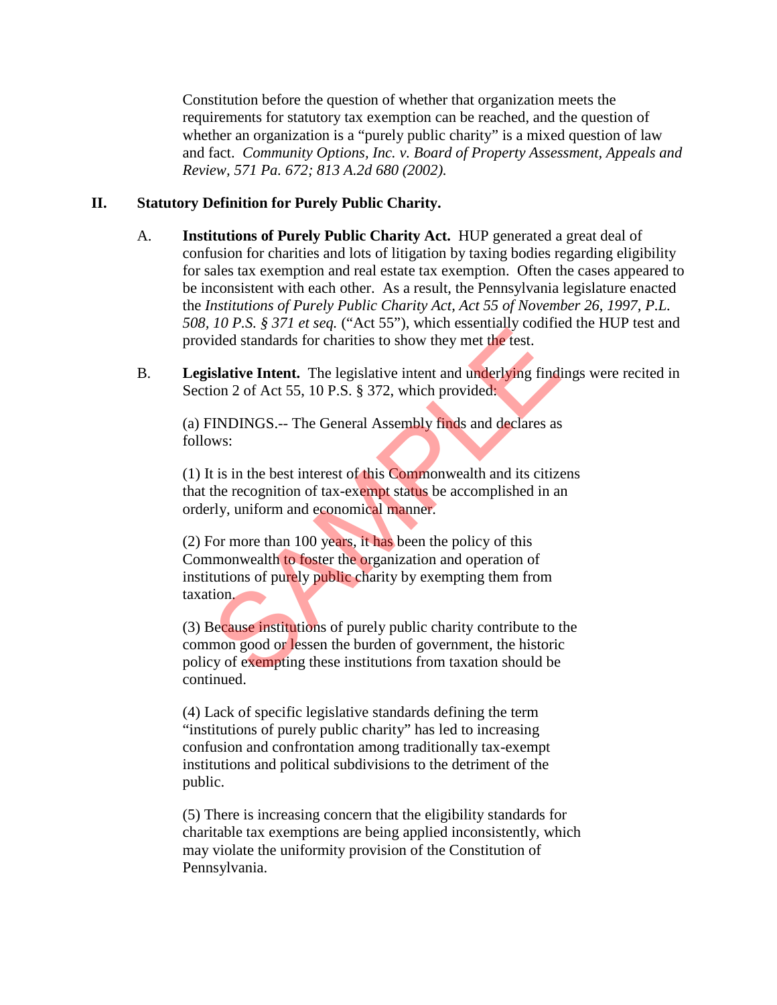Constitution before the question of whether that organization meets the requirements for statutory tax exemption can be reached, and the question of whether an organization is a "purely public charity" is a mixed question of law and fact. *Community Options, Inc. v. Board of Property Assessment, Appeals and Review, 571 Pa. 672; 813 A.2d 680 (2002).*

## **II. Statutory Definition for Purely Public Charity.**

- A. **Institutions of Purely Public Charity Act.** HUP generated a great deal of confusion for charities and lots of litigation by taxing bodies regarding eligibility for sales tax exemption and real estate tax exemption. Often the cases appeared to be inconsistent with each other. As a result, the Pennsylvania legislature enacted the *Institutions of Purely Public Charity Act, Act 55 of November 26, 1997, P.L. 508, 10 P.S. § 371 et seq.* ("Act 55"), which essentially codified the HUP test and provided standards for charities to show they met the test.
- B. **Legislative Intent.** The legislative intent and underlying findings were recited in Section 2 of Act 55, 10 P.S. § 372, which provided:

(a) FINDINGS.-- The General Assembly finds and declares as follows:

(1) It is in the best interest of this Commonwealth and its citizens that the recognition of tax-exempt status be accomplished in an orderly, uniform and economical manner.

(2) For more than 100 years, it has been the policy of this Commonwealth to foster the organization and operation of institutions of purely public charity by exempting them from taxation. To T.S. y 37 Tel seq. (The 33 ), when essenting coincided standards for charities to show they met the test.<br>
Solution 2 of Act 55, 10 P.S. § 372, which provided.<br>
TINDINGS.-- The General Assembly finds and declares as<br>
ws

(3) Because institutions of purely public charity contribute to the common good or lessen the burden of government, the historic policy of exempting these institutions from taxation should be continued.

(4) Lack of specific legislative standards defining the term "institutions of purely public charity" has led to increasing confusion and confrontation among traditionally tax-exempt institutions and political subdivisions to the detriment of the public.

(5) There is increasing concern that the eligibility standards for charitable tax exemptions are being applied inconsistently, which may violate the uniformity provision of the Constitution of Pennsylvania.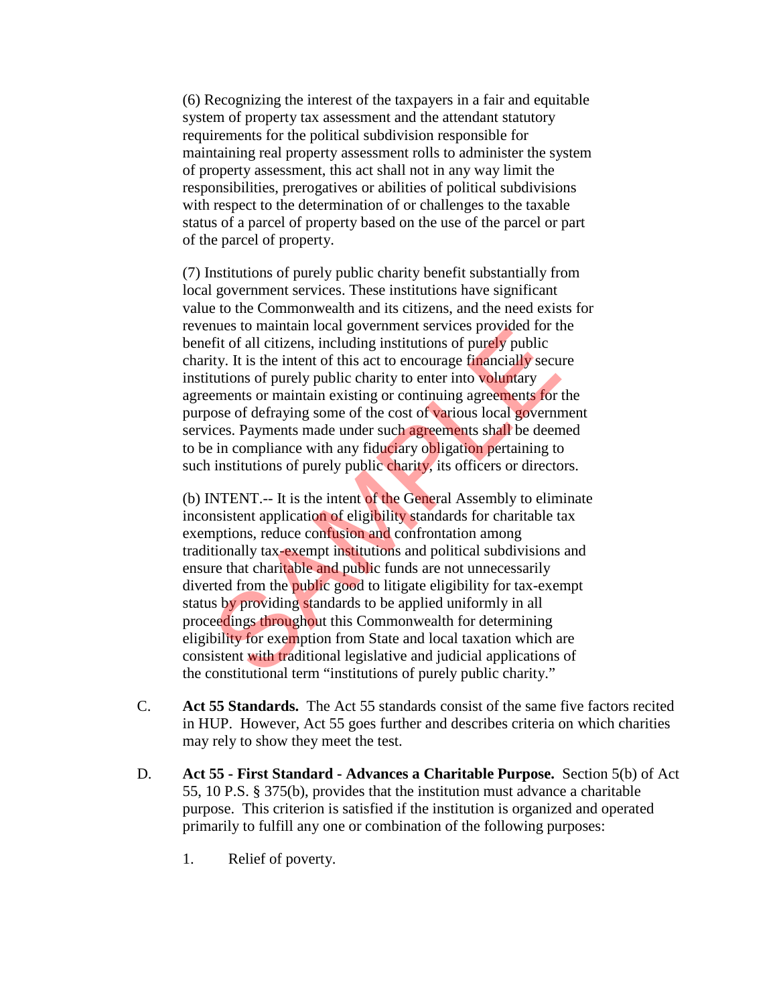(6) Recognizing the interest of the taxpayers in a fair and equitable system of property tax assessment and the attendant statutory requirements for the political subdivision responsible for maintaining real property assessment rolls to administer the system of property assessment, this act shall not in any way limit the responsibilities, prerogatives or abilities of political subdivisions with respect to the determination of or challenges to the taxable status of a parcel of property based on the use of the parcel or part of the parcel of property.

(7) Institutions of purely public charity benefit substantially from local government services. These institutions have significant value to the Commonwealth and its citizens, and the need exists for revenues to maintain local government services provided for the benefit of all citizens, including institutions of purely public charity. It is the intent of this act to encourage financially secure institutions of purely public charity to enter into voluntary agreements or maintain existing or continuing agreements for the purpose of defraying some of the cost of various local government services. Payments made under such agreements shall be deemed to be in compliance with any fiduciary obligation pertaining to such institutions of purely public charity, its officers or directors.

(b) INTENT.-- It is the intent of the General Assembly to eliminate inconsistent application of eligibility standards for charitable tax exemptions, reduce confusion and confrontation among traditionally tax-exempt institutions and political subdivisions and ensure that charitable and public funds are not unnecessarily diverted from the public good to litigate eligibility for tax-exempt status by providing standards to be applied uniformly in all proceedings throughout this Commonwealth for determining eligibility for exemption from State and local taxation which are consistent with traditional legislative and judicial applications of the constitutional term "institutions of purely public charity." These to manual rocal government services provided for diffit of all citizens, including institutions of purely public<br>tity. It is the intent of this act to encourage **financially** secure<br>tutions of purely public charity t

- C. **Act 55 Standards.** The Act 55 standards consist of the same five factors recited in HUP. However, Act 55 goes further and describes criteria on which charities may rely to show they meet the test.
- D. **Act 55 First Standard Advances a Charitable Purpose.** Section 5(b) of Act 55, 10 P.S. § 375(b), provides that the institution must advance a charitable purpose. This criterion is satisfied if the institution is organized and operated primarily to fulfill any one or combination of the following purposes:
	- 1. Relief of poverty.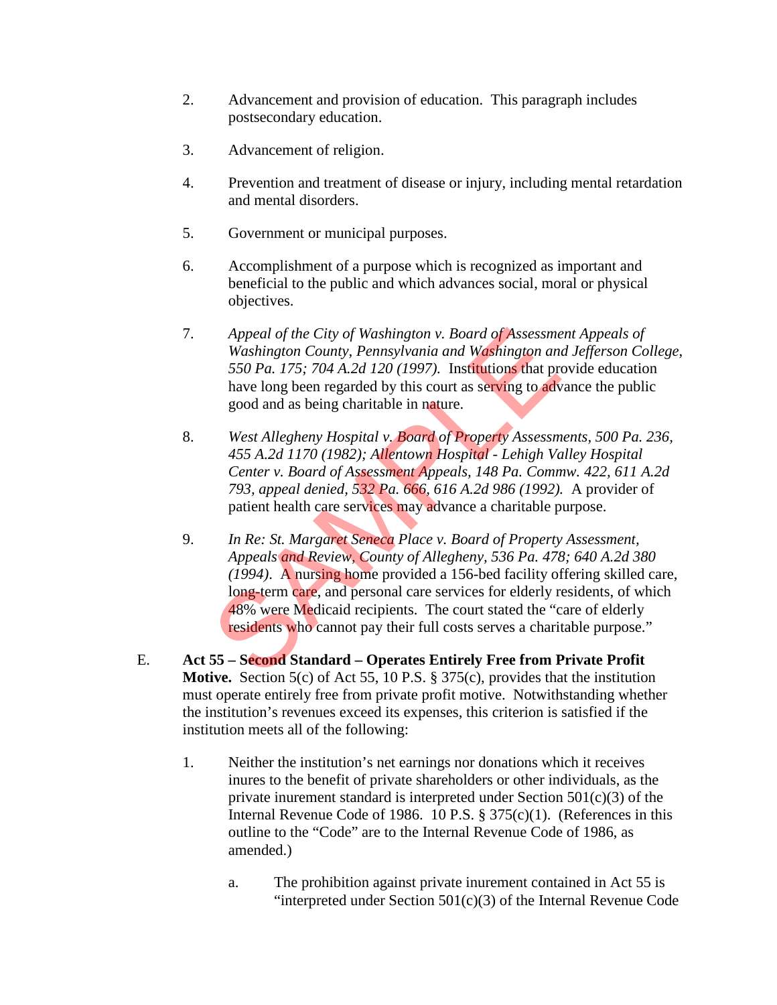- 2. Advancement and provision of education. This paragraph includes postsecondary education.
- 3. Advancement of religion.
- 4. Prevention and treatment of disease or injury, including mental retardation and mental disorders.
- 5. Government or municipal purposes.
- 6. Accomplishment of a purpose which is recognized as important and beneficial to the public and which advances social, moral or physical objectives.
- 7. *Appeal of the City of Washington v. Board of Assessment Appeals of Washington County, Pennsylvania and Washington and Jefferson College, 550 Pa. 175; 704 A.2d 120 (1997).* Institutions that provide education have long been regarded by this court as serving to advance the public good and as being charitable in nature.
- 8. *West Allegheny Hospital v. Board of Property Assessments, 500 Pa. 236, 455 A.2d 1170 (1982); Allentown Hospital - Lehigh Valley Hospital Center v. Board of Assessment Appeals, 148 Pa. Commw. 422, 611 A.2d 793, appeal denied, 532 Pa. 666, 616 A.2d 986 (1992).* A provider of patient health care services may advance a charitable purpose.
- 9. *In Re: St. Margaret Seneca Place v. Board of Property Assessment, Appeals and Review, County of Allegheny, 536 Pa. 478; 640 A.2d 380 (1994)*. A nursing home provided a 156-bed facility offering skilled care, long-term care, and personal care services for elderly residents, of which 48% were Medicaid recipients. The court stated the "care of elderly residents who cannot pay their full costs serves a charitable purpose." Appeal of the City of Washington v. Board of Assessme<br>Washington County, Pennsylvania and Washington and<br>550 Pa. 175; 704 A.2d 120 (1997). Institutions that pro<br>have long been regarded by this court as serving to adv<br>good
- E. **Act 55 Second Standard Operates Entirely Free from Private Profit Motive.** Section 5(c) of Act 55, 10 P.S. § 375(c), provides that the institution must operate entirely free from private profit motive. Notwithstanding whether the institution's revenues exceed its expenses, this criterion is satisfied if the institution meets all of the following:
	- 1. Neither the institution's net earnings nor donations which it receives inures to the benefit of private shareholders or other individuals, as the private inurement standard is interpreted under Section  $501(c)(3)$  of the Internal Revenue Code of 1986. 10 P.S. § 375(c)(1). (References in this outline to the "Code" are to the Internal Revenue Code of 1986, as amended.)
		- a. The prohibition against private inurement contained in Act 55 is "interpreted under Section  $501(c)(3)$  of the Internal Revenue Code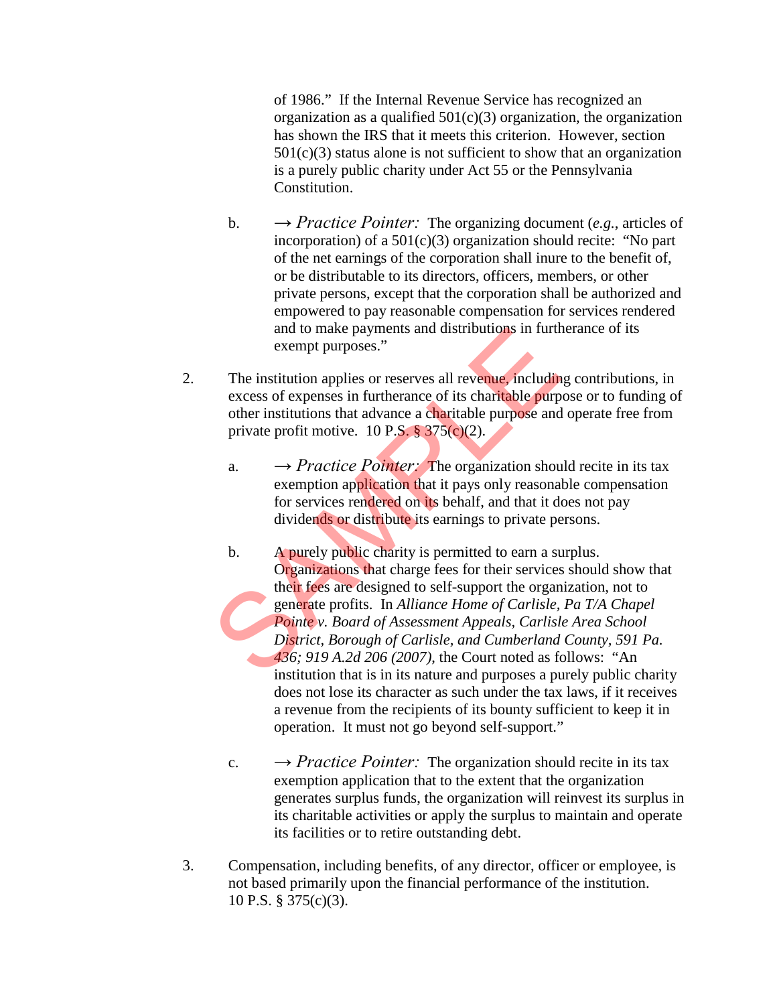of 1986." If the Internal Revenue Service has recognized an organization as a qualified  $501(c)(3)$  organization, the organization has shown the IRS that it meets this criterion. However, section  $501(c)(3)$  status alone is not sufficient to show that an organization is a purely public charity under Act 55 or the Pennsylvania Constitution.

- b.  $\rightarrow$  *Practice Pointer:* The organizing document (*e.g.*, articles of incorporation) of a 501(c)(3) organization should recite: "No part of the net earnings of the corporation shall inure to the benefit of, or be distributable to its directors, officers, members, or other private persons, except that the corporation shall be authorized and empowered to pay reasonable compensation for services rendered and to make payments and distributions in furtherance of its exempt purposes."
- 2. The institution applies or reserves all revenue, including contributions, in excess of expenses in furtherance of its charitable purpose or to funding of other institutions that advance a charitable purpose and operate free from private profit motive. 10 P.S.  $\S 375(c)(2)$ .
	- a.  $\rightarrow$  *Practice Pointer:* The organization should recite in its tax exemption application that it pays only reasonable compensation for services rendered on its behalf, and that it does not pay dividends or distribute its earnings to private persons.
- b. A purely public charity is permitted to earn a surplus. Organizations that charge fees for their services should show that their fees are designed to self-support the organization, not to generate profits. In *Alliance Home of Carlisle, Pa T/A Chapel Pointe v. Board of Assessment Appeals, Carlisle Area School District, Borough of Carlisle, and Cumberland County, 591 Pa. 436; 919 A.2d 206 (2007)*, the Court noted as follows: "An institution that is in its nature and purposes a purely public charity does not lose its character as such under the tax laws, if it receives a revenue from the recipients of its bounty sufficient to keep it in operation. It must not go beyond self-support." and to make payments and distributions in furth<br>
exempt purposes."<br>
The institution applies or reserves all revenue, includin<br>
excess of expenses in furtherance of its charitable purp<br>
other institutions that advance a ch
	- c.  $\rightarrow$  *Practice Pointer:* The organization should recite in its tax exemption application that to the extent that the organization generates surplus funds, the organization will reinvest its surplus in its charitable activities or apply the surplus to maintain and operate its facilities or to retire outstanding debt.
- 3. Compensation, including benefits, of any director, officer or employee, is not based primarily upon the financial performance of the institution. 10 P.S. § 375(c)(3).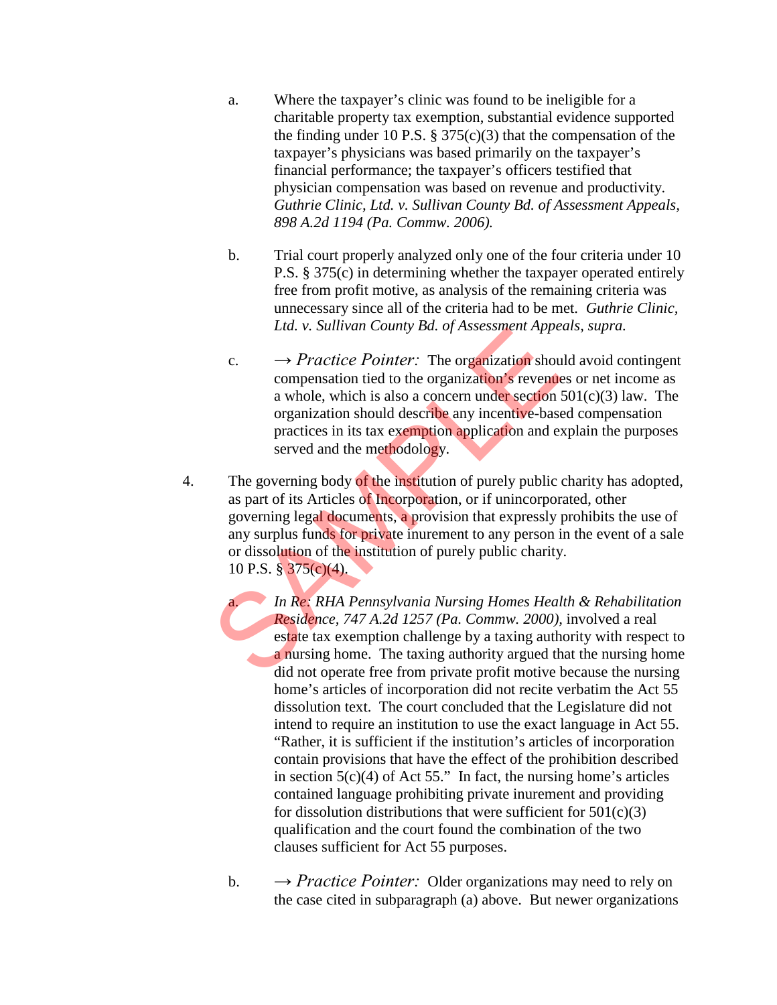- a. Where the taxpayer's clinic was found to be ineligible for a charitable property tax exemption, substantial evidence supported the finding under 10 P.S.  $\S 375(c)(3)$  that the compensation of the taxpayer's physicians was based primarily on the taxpayer's financial performance; the taxpayer's officers testified that physician compensation was based on revenue and productivity. *Guthrie Clinic, Ltd. v. Sullivan County Bd. of Assessment Appeals, 898 A.2d 1194 (Pa. Commw. 2006).*
- b. Trial court properly analyzed only one of the four criteria under 10 P.S. § 375(c) in determining whether the taxpayer operated entirely free from profit motive, as analysis of the remaining criteria was unnecessary since all of the criteria had to be met. *Guthrie Clinic, Ltd. v. Sullivan County Bd. of Assessment Appeals, supra.*
- c.  $\rightarrow$  *Practice Pointer:* The organization should avoid contingent compensation tied to the organization's revenues or net income as a whole, which is also a concern under section  $501(c)(3)$  law. The organization should describe any incentive-based compensation practices in its tax exemption application and explain the purposes served and the methodology.
- 4. The governing body of the institution of purely public charity has adopted, as part of its Articles of Incorporation, or if unincorporated, other governing legal documents, a provision that expressly prohibits the use of any surplus funds for private inurement to any person in the event of a sale or dissolution of the institution of purely public charity. 10 P.S. § 375(c)(4). Consumer that the contract of the institution of the comparization show compensation tied to the organization's revenue a whole, which is also a concern under section organization should describe any incentive-base practi

a. *In Re: RHA Pennsylvania Nursing Homes Health & Rehabilitation Residence, 747 A.2d 1257 (Pa. Commw. 2000),* involved a real estate tax exemption challenge by a taxing authority with respect to a nursing home. The taxing authority argued that the nursing home did not operate free from private profit motive because the nursing home's articles of incorporation did not recite verbatim the Act 55 dissolution text. The court concluded that the Legislature did not intend to require an institution to use the exact language in Act 55. "Rather, it is sufficient if the institution's articles of incorporation contain provisions that have the effect of the prohibition described in section  $5(c)(4)$  of Act 55." In fact, the nursing home's articles contained language prohibiting private inurement and providing for dissolution distributions that were sufficient for  $501(c)(3)$ qualification and the court found the combination of the two clauses sufficient for Act 55 purposes.

b.  $\rightarrow$  *Practice Pointer:* Older organizations may need to rely on the case cited in subparagraph (a) above. But newer organizations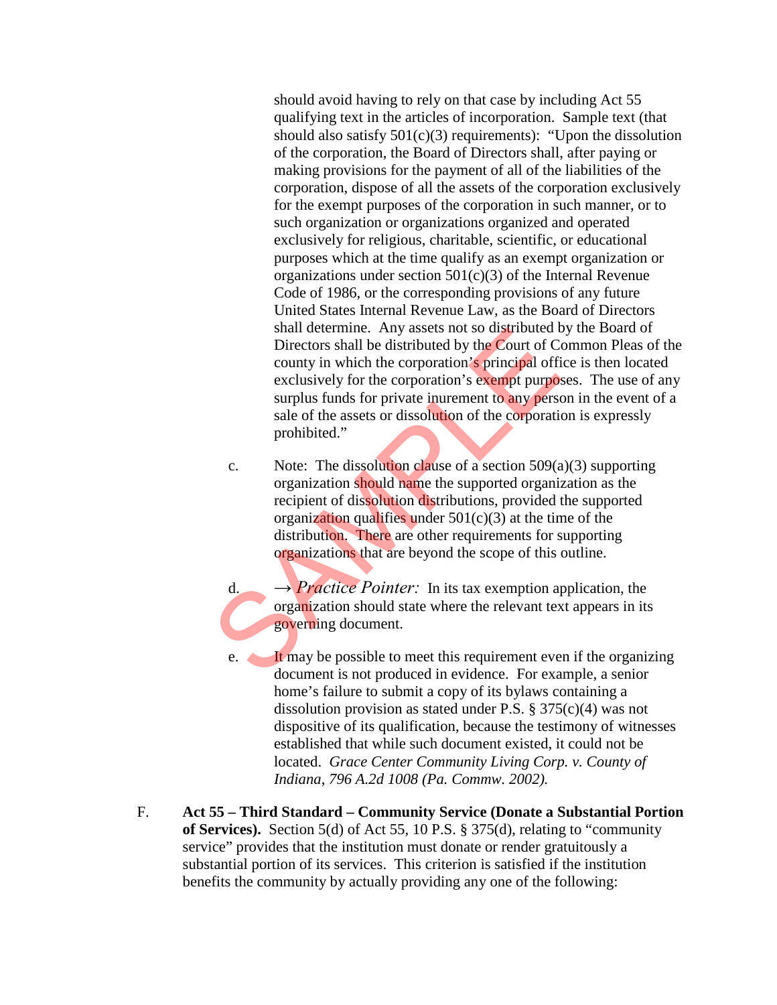should avoid having to rely on that case by including Act 55 qualifying text in the articles of incorporation. Sample text (that should also satisfy  $501(c)(3)$  requirements): "Upon the dissolution of the corporation, the Board of Directors shall, after paying or making provisions for the payment of all of the liabilities of the corporation, dispose of all the assets of the corporation exclusively for the exempt purposes of the corporation in such manner, or to such organization or organizations organized and operated exclusively for religious, charitable, scientific, or educational purposes which at the time qualify as an exempt organization or organizations under section  $501(c)(3)$  of the Internal Revenue Code of 1986, or the corresponding provisions of any future United States Internal Revenue Law, as the Board of Directors shall determine. Any assets not so distributed by the Board of Directors shall be distributed by the Court of Common Pleas of the county in which the corporation's principal office is then located exclusively for the corporation's exempt purposes. The use of any surplus funds for private inurement to any person in the event of a sale of the assets or dissolution of the corporation is expressly prohibited."

- c. Note: The dissolution clause of a section  $509(a)(3)$  supporting organization should name the supported organization as the recipient of dissolution distributions, provided the supported organization qualifies under  $501(c)(3)$  at the time of the distribution. There are other requirements for supporting organizations that are beyond the scope of this outline. Shall determine. Any assets not so distributed to<br>Directors shall be distributed by the Court of Co<br>county in which the corporation's principal officeral<br>sively for the corporation's exempt purpos<br>surplus funds for privat
	- d.  $\rightarrow$  *Practice Pointer:* In its tax exemption application, the organization should state where the relevant text appears in its governing document.
	- e. It may be possible to meet this requirement even if the organizing document is not produced in evidence. For example, a senior home's failure to submit a copy of its bylaws containing a dissolution provision as stated under P.S. § 375(c)(4) was not dispositive of its qualification, because the testimony of witnesses established that while such document existed, it could not be located. *Grace Center Community Living Corp. v. County of Indiana, 796 A.2d 1008 (Pa. Commw. 2002).*
- F. **Act 55 Third Standard Community Service (Donate a Substantial Portion of Services).** Section 5(d) of Act 55, 10 P.S. § 375(d), relating to "community service" provides that the institution must donate or render gratuitously a substantial portion of its services. This criterion is satisfied if the institution benefits the community by actually providing any one of the following: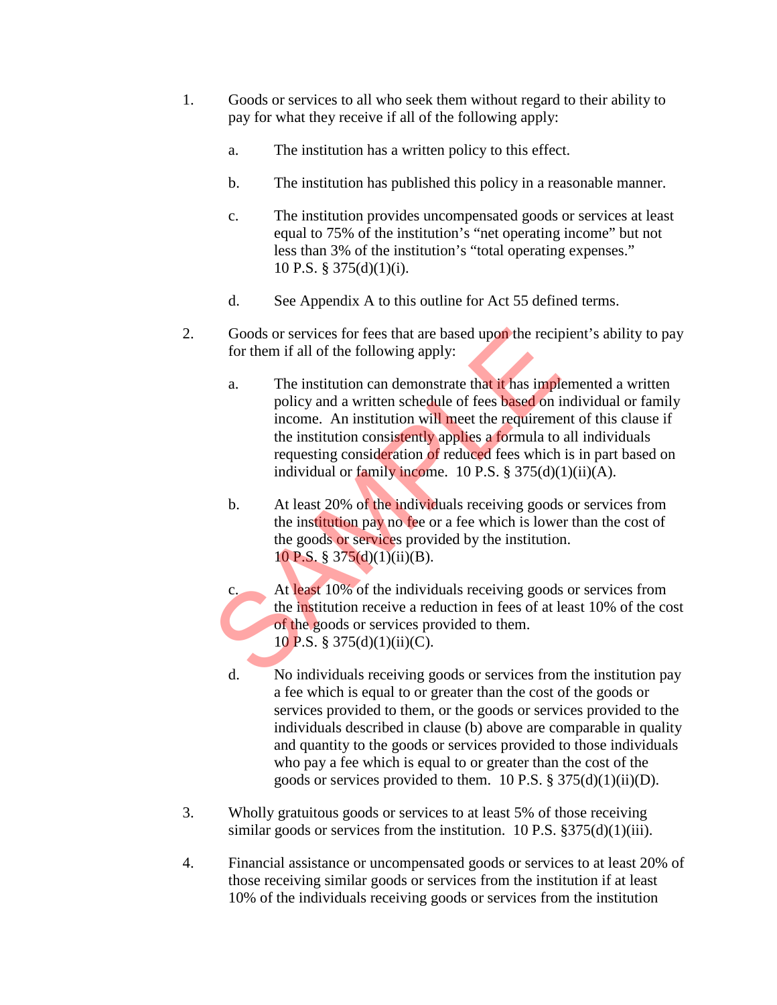- 1. Goods or services to all who seek them without regard to their ability to pay for what they receive if all of the following apply:
	- a. The institution has a written policy to this effect.
	- b. The institution has published this policy in a reasonable manner.
	- c. The institution provides uncompensated goods or services at least equal to 75% of the institution's "net operating income" but not less than 3% of the institution's "total operating expenses." 10 P.S. § 375(d)(1)(i).
	- d. See Appendix A to this outline for Act 55 defined terms.
- 2. Goods or services for fees that are based upon the recipient's ability to pay for them if all of the following apply:
	- a. The institution can demonstrate that it has implemented a written policy and a written schedule of fees based on individual or family income. An institution will meet the requirement of this clause if the institution consistently applies a formula to all individuals requesting consideration of reduced fees which is in part based on individual or family income. 10 P.S.  $\S 375(d)(1)(ii)(A)$ . Goods or services for fees that are based upon the reciproof them if all of the following apply:<br>
	a. The institution can demonstrate that it has implement policy and a written schedule of fees **based** on income. An instit
		- b. At least 20% of the individuals receiving goods or services from the institution pay no fee or a fee which is lower than the cost of the goods or services provided by the institution. 10 P.S. § 375(d)(1)(ii)(B).
		- c. At least 10% of the individuals receiving goods or services from the institution receive a reduction in fees of at least 10% of the cost of the goods or services provided to them. 10 P.S. § 375(d)(1)(ii)(C).
		- d. No individuals receiving goods or services from the institution pay a fee which is equal to or greater than the cost of the goods or services provided to them, or the goods or services provided to the individuals described in clause (b) above are comparable in quality and quantity to the goods or services provided to those individuals who pay a fee which is equal to or greater than the cost of the goods or services provided to them. 10 P.S.  $\S 375(d)(1)(ii)(D)$ .
- 3. Wholly gratuitous goods or services to at least 5% of those receiving similar goods or services from the institution. 10 P.S.  $\S 375(d)(1)(iii)$ .
- 4. Financial assistance or uncompensated goods or services to at least 20% of those receiving similar goods or services from the institution if at least 10% of the individuals receiving goods or services from the institution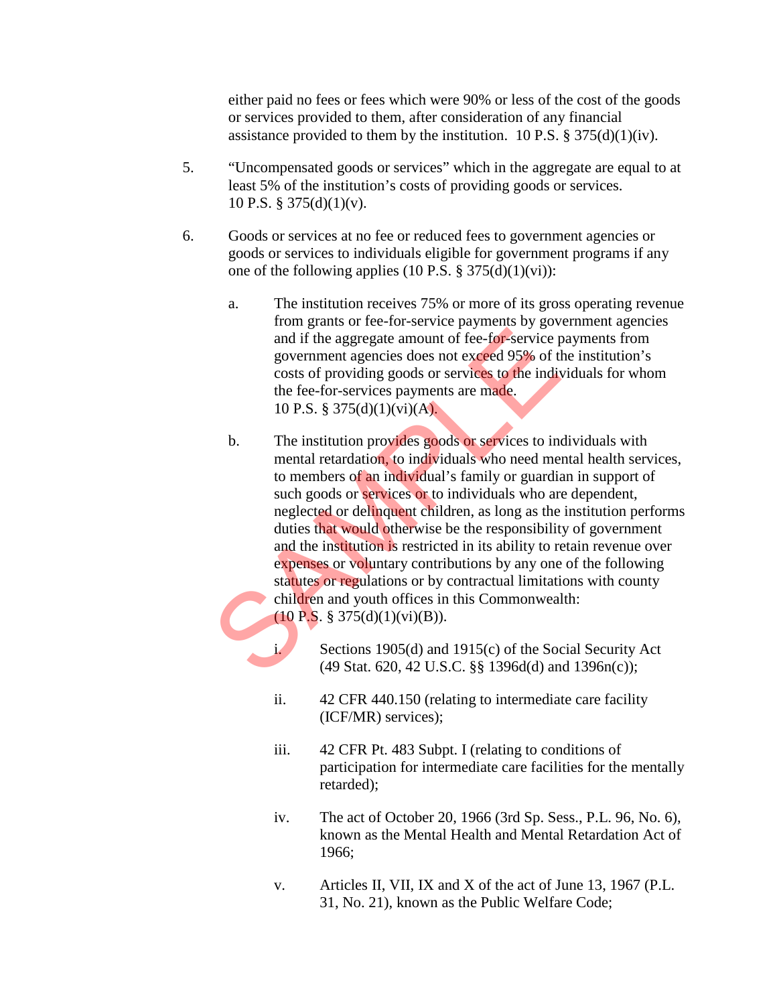either paid no fees or fees which were 90% or less of the cost of the goods or services provided to them, after consideration of any financial assistance provided to them by the institution. 10 P.S.  $\S 375(d)(1)(iv)$ .

- 5. "Uncompensated goods or services" which in the aggregate are equal to at least 5% of the institution's costs of providing goods or services. 10 P.S. § 375(d)(1)(v).
- 6. Goods or services at no fee or reduced fees to government agencies or goods or services to individuals eligible for government programs if any one of the following applies  $(10$  P.S. § 375(d) $(1)(vi)$ :
	- a. The institution receives 75% or more of its gross operating revenue from grants or fee-for-service payments by government agencies and if the aggregate amount of fee-for-service payments from government agencies does not exceed 95% of the institution's costs of providing goods or services to the individuals for whom the fee-for-services payments are made. 10 P.S. § 375(d)(1)(vi)(A).
	- b. The institution provides goods or services to individuals with mental retardation, to individuals who need mental health services, to members of an individual's family or guardian in support of such goods or services or to individuals who are dependent, neglected or delinquent children, as long as the institution performs duties that would otherwise be the responsibility of government and the institution is restricted in its ability to retain revenue over expenses or voluntary contributions by any one of the following statutes or regulations or by contractual limitations with county children and youth offices in this Commonwealth:  $(10 \text{ P.S. } § 375(d)(1)(vi)(B)).$ and if the aggregate amount of fee-for-service p<br>government agencies does not exceed 95% of the costs of providing goods or services to the indit<br>the fee-for-services payments are made.<br>10 P.S. § 375(d)(1)(vi)(A).<br>b. The
		- i. Sections 1905(d) and 1915(c) of the Social Security Act (49 Stat. 620, 42 U.S.C. §§ 1396d(d) and 1396n(c));
		- ii. 42 CFR 440.150 (relating to intermediate care facility (ICF/MR) services);
		- iii. 42 CFR Pt. 483 Subpt. I (relating to conditions of participation for intermediate care facilities for the mentally retarded);
		- iv. The act of October 20, 1966 (3rd Sp. Sess., P.L. 96, No. 6), known as the Mental Health and Mental Retardation Act of 1966;
		- v. Articles II, VII, IX and X of the act of June 13, 1967 (P.L. 31, No. 21), known as the Public Welfare Code;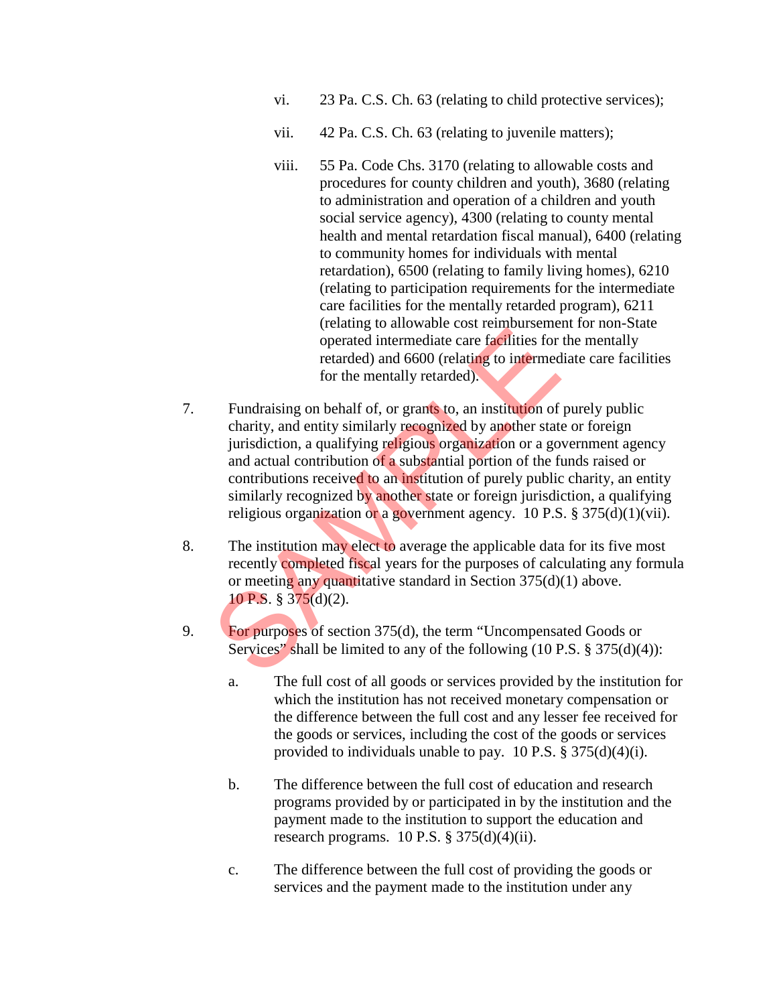- vi. 23 Pa. C.S. Ch. 63 (relating to child protective services);
- vii. 42 Pa. C.S. Ch. 63 (relating to juvenile matters);
- viii. 55 Pa. Code Chs. 3170 (relating to allowable costs and procedures for county children and youth), 3680 (relating to administration and operation of a children and youth social service agency), 4300 (relating to county mental health and mental retardation fiscal manual), 6400 (relating to community homes for individuals with mental retardation), 6500 (relating to family living homes), 6210 (relating to participation requirements for the intermediate care facilities for the mentally retarded program), 6211 (relating to allowable cost reimbursement for non-State operated intermediate care facilities for the mentally retarded) and 6600 (relating to intermediate care facilities for the mentally retarded).
- 7. Fundraising on behalf of, or grants to, an institution of purely public charity, and entity similarly recognized by another state or foreign jurisdiction, a qualifying religious organization or a government agency and actual contribution of a substantial portion of the funds raised or contributions received to an institution of purely public charity, an entity similarly recognized by another state or foreign jurisdiction, a qualifying religious organization or a government agency. 10 P.S.  $\S 375(d)(1)(vii)$ . (increased intermediate care facilities for<br>operated intermediate care facilities for<br>retarded) and 6600 (relating to intermed<br>for the mentally retarded).<br>Fundraising on behalf of, or grants to, an institution of<br>charity,
- 8. The institution may elect to average the applicable data for its five most recently completed fiscal years for the purposes of calculating any formula or meeting any quantitative standard in Section 375(d)(1) above. 10 P.S. § 375(d)(2).
- 9. For purposes of section 375(d), the term "Uncompensated Goods or Services" shall be limited to any of the following (10 P.S. § 375(d)(4)):
	- a. The full cost of all goods or services provided by the institution for which the institution has not received monetary compensation or the difference between the full cost and any lesser fee received for the goods or services, including the cost of the goods or services provided to individuals unable to pay. 10 P.S.  $\S 375(d)(4)(i)$ .
	- b. The difference between the full cost of education and research programs provided by or participated in by the institution and the payment made to the institution to support the education and research programs.  $10$  P.S. §  $375(d)(4)(ii)$ .
	- c. The difference between the full cost of providing the goods or services and the payment made to the institution under any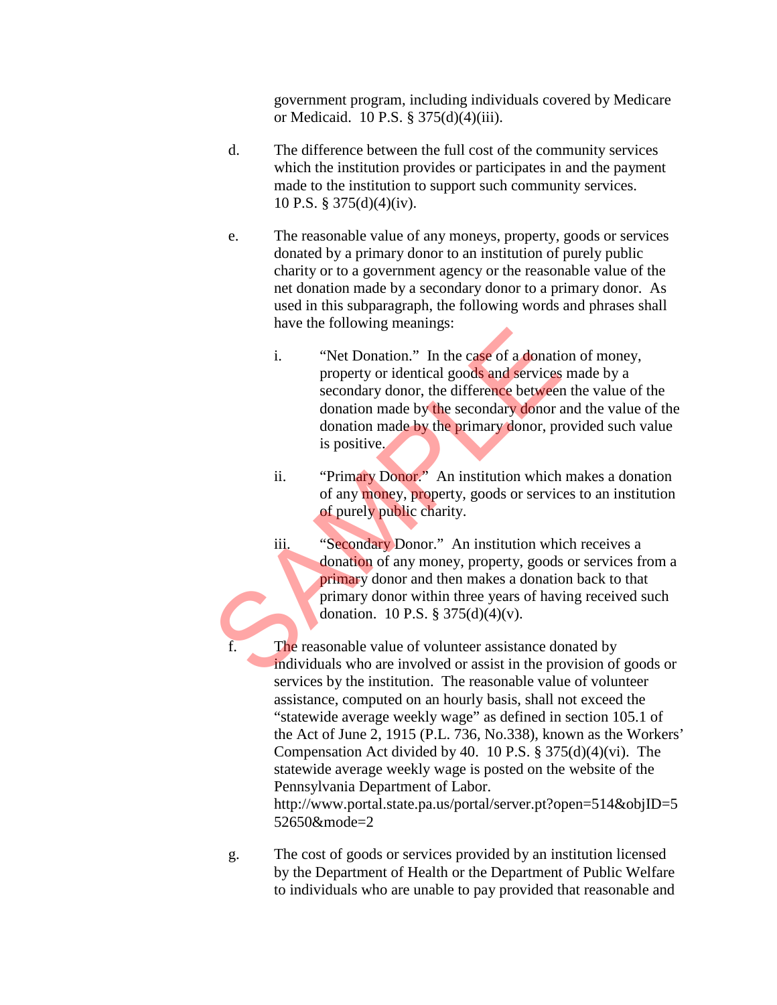government program, including individuals covered by Medicare or Medicaid. 10 P.S. § 375(d)(4)(iii).

- d. The difference between the full cost of the community services which the institution provides or participates in and the payment made to the institution to support such community services. 10 P.S. § 375(d)(4)(iv).
- e. The reasonable value of any moneys, property, goods or services donated by a primary donor to an institution of purely public charity or to a government agency or the reasonable value of the net donation made by a secondary donor to a primary donor. As used in this subparagraph, the following words and phrases shall have the following meanings:
- i. "Net Donation." In the case of a donation of money, property or identical goods and services made by a secondary donor, the difference between the value of the donation made by the secondary donor and the value of the donation made by the primary donor, provided such value is positive. i. "Net Donation." In the case of a donation property or identical goods and services<br>secondary donor, the difference between donation made by the secondary donor, pr<br>is positive.<br>ii. "Primary Donor." An institution which<br>
	- ii. "Primary Donor." An institution which makes a donation of any money, property, goods or services to an institution of purely public charity.
	- iii. "Secondary Donor." An institution which receives a donation of any money, property, goods or services from a primary donor and then makes a donation back to that primary donor within three years of having received such donation. 10 P.S. § 375(d)(4)(v).
	- The reasonable value of volunteer assistance donated by individuals who are involved or assist in the provision of goods or services by the institution. The reasonable value of volunteer assistance, computed on an hourly basis, shall not exceed the "statewide average weekly wage" as defined in section 105.1 of the Act of June 2, 1915 (P.L. 736, No.338), known as the Workers' Compensation Act divided by 40. 10 P.S. § 375(d)(4)(vi). The statewide average weekly wage is posted on the website of the Pennsylvania Department of Labor. http://www.portal.state.pa.us/portal/server.pt?open=514&objID=5 52650&mode=2
	- g. The cost of goods or services provided by an institution licensed by the Department of Health or the Department of Public Welfare to individuals who are unable to pay provided that reasonable and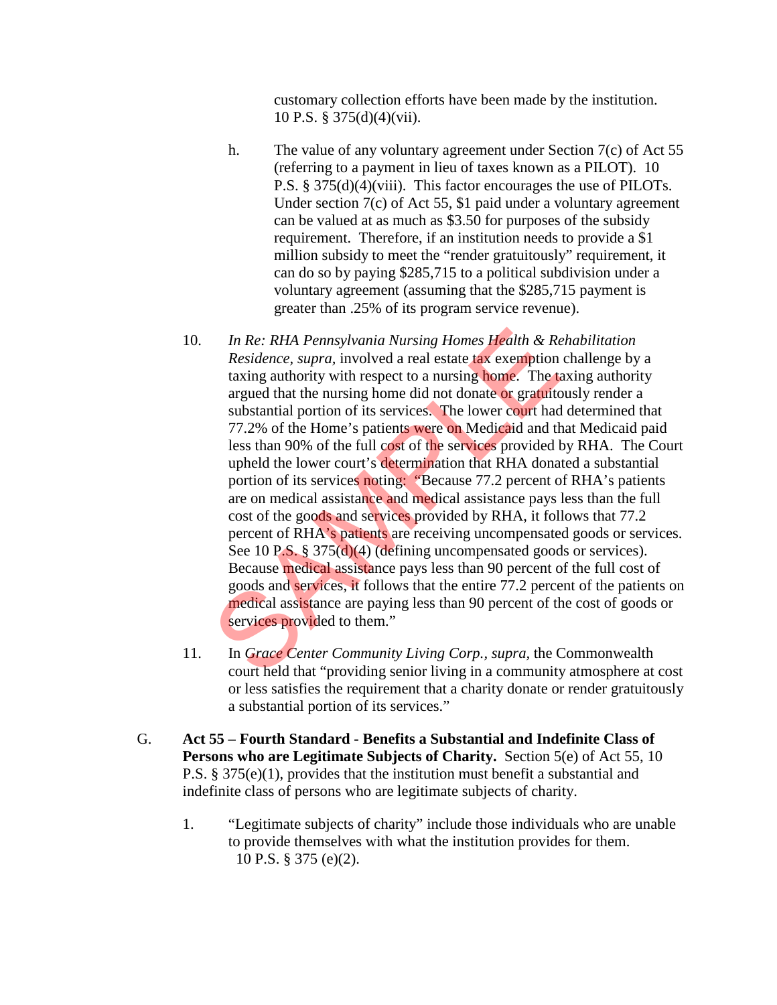customary collection efforts have been made by the institution. 10 P.S. § 375(d)(4)(vii).

- h. The value of any voluntary agreement under Section 7(c) of Act 55 (referring to a payment in lieu of taxes known as a PILOT). 10 P.S. § 375(d)(4)(viii). This factor encourages the use of PILOTs. Under section 7(c) of Act 55, \$1 paid under a voluntary agreement can be valued at as much as \$3.50 for purposes of the subsidy requirement. Therefore, if an institution needs to provide a \$1 million subsidy to meet the "render gratuitously" requirement, it can do so by paying \$285,715 to a political subdivision under a voluntary agreement (assuming that the \$285,715 payment is greater than .25% of its program service revenue).
- 10. *In Re: RHA Pennsylvania Nursing Homes Health & Rehabilitation Residence, supra,* involved a real estate tax exemption challenge by a taxing authority with respect to a nursing home. The taxing authority argued that the nursing home did not donate or gratuitously render a substantial portion of its services. The lower court had determined that 77.2% of the Home's patients were on Medicaid and that Medicaid paid less than 90% of the full cost of the services provided by RHA. The Court upheld the lower court's determination that RHA donated a substantial portion of its services noting: "Because 77.2 percent of RHA's patients are on medical assistance and medical assistance pays less than the full cost of the goods and services provided by RHA, it follows that 77.2 percent of RHA's patients are receiving uncompensated goods or services. See 10 P.S. § 375(d)(4) (defining uncompensated goods or services). Because medical assistance pays less than 90 percent of the full cost of goods and services, it follows that the entire 77.2 percent of the patients on medical assistance are paying less than 90 percent of the cost of goods or services provided to them." In Re: RHA Pennsylvania Nursing Homes Health & Residence, supra, involved a real estate tax exemption taxing authority with respect to a nursing home. The targued that the nursing home did not donate or gratuitc substanti
- 11. In *Grace Center Community Living Corp., supra,* the Commonwealth court held that "providing senior living in a community atmosphere at cost or less satisfies the requirement that a charity donate or render gratuitously a substantial portion of its services."
- G. **Act 55 Fourth Standard Benefits a Substantial and Indefinite Class of Persons who are Legitimate Subjects of Charity.** Section 5(e) of Act 55, 10 P.S. § 375(e)(1), provides that the institution must benefit a substantial and indefinite class of persons who are legitimate subjects of charity.
	- 1. "Legitimate subjects of charity" include those individuals who are unable to provide themselves with what the institution provides for them. 10 P.S. § 375 (e)(2).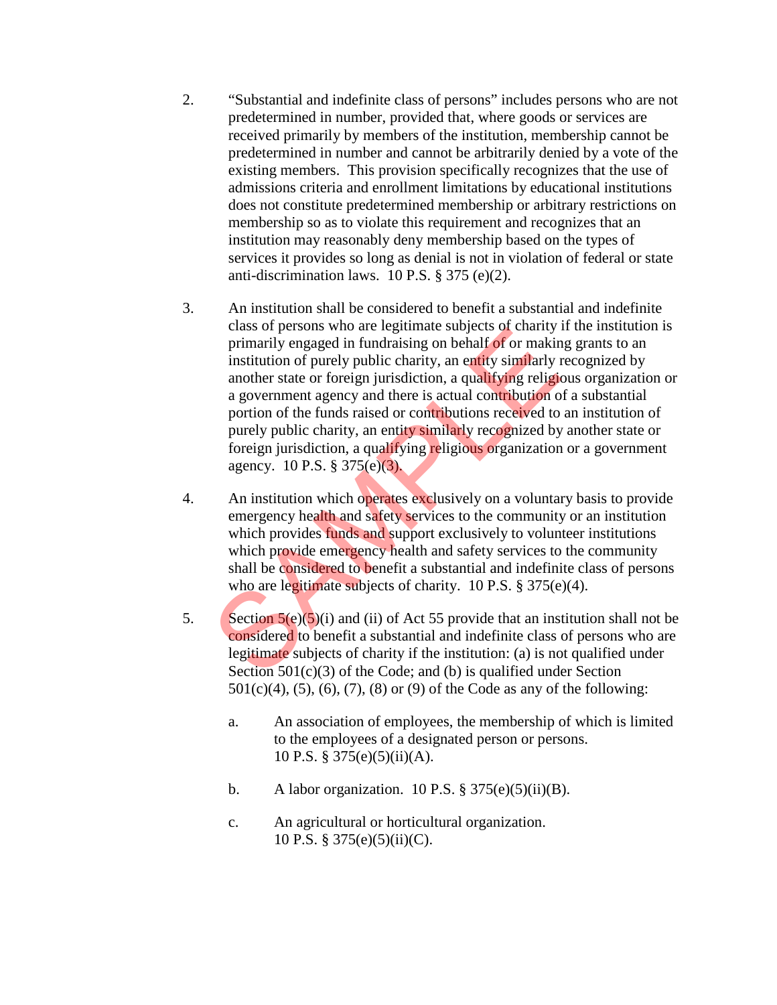- 2. "Substantial and indefinite class of persons" includes persons who are not predetermined in number, provided that, where goods or services are received primarily by members of the institution, membership cannot be predetermined in number and cannot be arbitrarily denied by a vote of the existing members. This provision specifically recognizes that the use of admissions criteria and enrollment limitations by educational institutions does not constitute predetermined membership or arbitrary restrictions on membership so as to violate this requirement and recognizes that an institution may reasonably deny membership based on the types of services it provides so long as denial is not in violation of federal or state anti-discrimination laws. 10 P.S. § 375 (e)(2).
- 3. An institution shall be considered to benefit a substantial and indefinite class of persons who are legitimate subjects of charity if the institution is primarily engaged in fundraising on behalf of or making grants to an institution of purely public charity, an entity similarly recognized by another state or foreign jurisdiction, a qualifying religious organization or a government agency and there is actual contribution of a substantial portion of the funds raised or contributions received to an institution of purely public charity, an entity similarly recognized by another state or foreign jurisdiction, a qualifying religious organization or a government agency. 10 P.S. § 375(e)(3). class of persons who are legitimate subjects of chainy is<br>primarily engaged in fundraising on behalf of or makin<br>institution of purely public charity, an entity similarly is<br>another state or foreign jurisdiction, a qualif
- 4. An institution which operates exclusively on a voluntary basis to provide emergency health and safety services to the community or an institution which provides funds and support exclusively to volunteer institutions which provide emergency health and safety services to the community shall be considered to benefit a substantial and indefinite class of persons who are legitimate subjects of charity. 10 P.S. § 375(e)(4).
- 5. Section  $5(e)(5)(i)$  and (ii) of Act 55 provide that an institution shall not be considered to benefit a substantial and indefinite class of persons who are legitimate subjects of charity if the institution: (a) is not qualified under Section 501(c)(3) of the Code; and (b) is qualified under Section  $501(c)(4)$ ,  $(5)$ ,  $(6)$ ,  $(7)$ ,  $(8)$  or  $(9)$  of the Code as any of the following:
	- a. An association of employees, the membership of which is limited to the employees of a designated person or persons. 10 P.S. § 375(e)(5)(ii)(A).
	- b. A labor organization. 10 P.S.  $\S 375(e)(5)(ii)(B)$ .
	- c. An agricultural or horticultural organization. 10 P.S. § 375(e)(5)(ii)(C).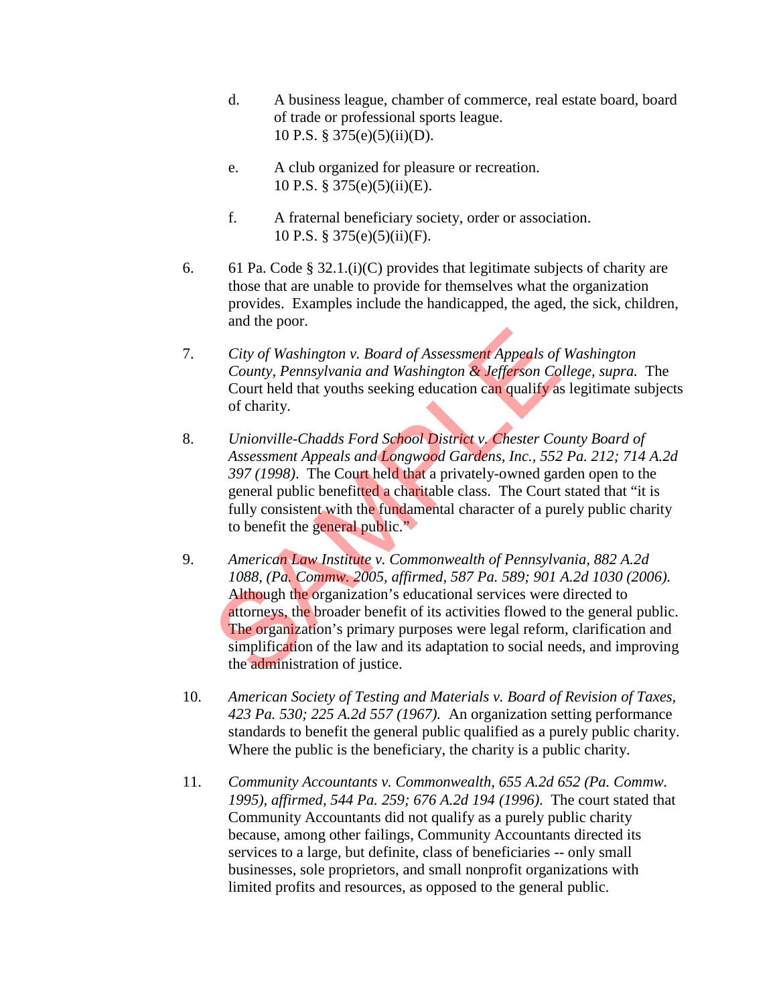- d. A business league, chamber of commerce, real estate board, board of trade or professional sports league. 10 P.S. § 375(e)(5)(ii)(D).
- e. A club organized for pleasure or recreation. 10 P.S. § 375(e)(5)(ii)(E).
- f. A fraternal beneficiary society, order or association. 10 P.S. § 375(e)(5)(ii)(F).
- 6. 61 Pa. Code § 32.1.(i)(C) provides that legitimate subjects of charity are those that are unable to provide for themselves what the organization provides. Examples include the handicapped, the aged, the sick, children, and the poor.
- 7. *City of Washington v. Board of Assessment Appeals of Washington County, Pennsylvania and Washington & Jefferson College, supra.* The Court held that youths seeking education can qualify as legitimate subjects of charity.
- 8. *Unionville-Chadds Ford School District v. Chester County Board of Assessment Appeals and Longwood Gardens, Inc., 552 Pa. 212; 714 A.2d 397 (1998)*. The Court held that a privately-owned garden open to the general public benefitted a charitable class. The Court stated that "it is fully consistent with the fundamental character of a purely public charity to benefit the general public."
- 9. *American Law Institute v. Commonwealth of Pennsylvania, 882 A.2d 1088, (Pa. Commw. 2005, affirmed, 587 Pa. 589; 901 A.2d 1030 (2006).*  Although the organization's educational services were directed to attorneys, the broader benefit of its activities flowed to the general public. The organization's primary purposes were legal reform, clarification and simplification of the law and its adaptation to social needs, and improving the administration of justice. City of Washington v. Board of Assessment Appeals of<br>County, Pennsylvania and Washington & Jefferson Co<br>Court held that youths seeking education can qualify as<br>of charity.<br>Unionville-Chadds Ford School District v. Chester
- 10. *American Society of Testing and Materials v. Board of Revision of Taxes, 423 Pa. 530; 225 A.2d 557 (1967).* An organization setting performance standards to benefit the general public qualified as a purely public charity. Where the public is the beneficiary, the charity is a public charity.
- 11. *Community Accountants v. Commonwealth, 655 A.2d 652 (Pa. Commw. 1995), affirmed, 544 Pa. 259; 676 A.2d 194 (1996)*. The court stated that Community Accountants did not qualify as a purely public charity because, among other failings, Community Accountants directed its services to a large, but definite, class of beneficiaries -- only small businesses, sole proprietors, and small nonprofit organizations with limited profits and resources, as opposed to the general public.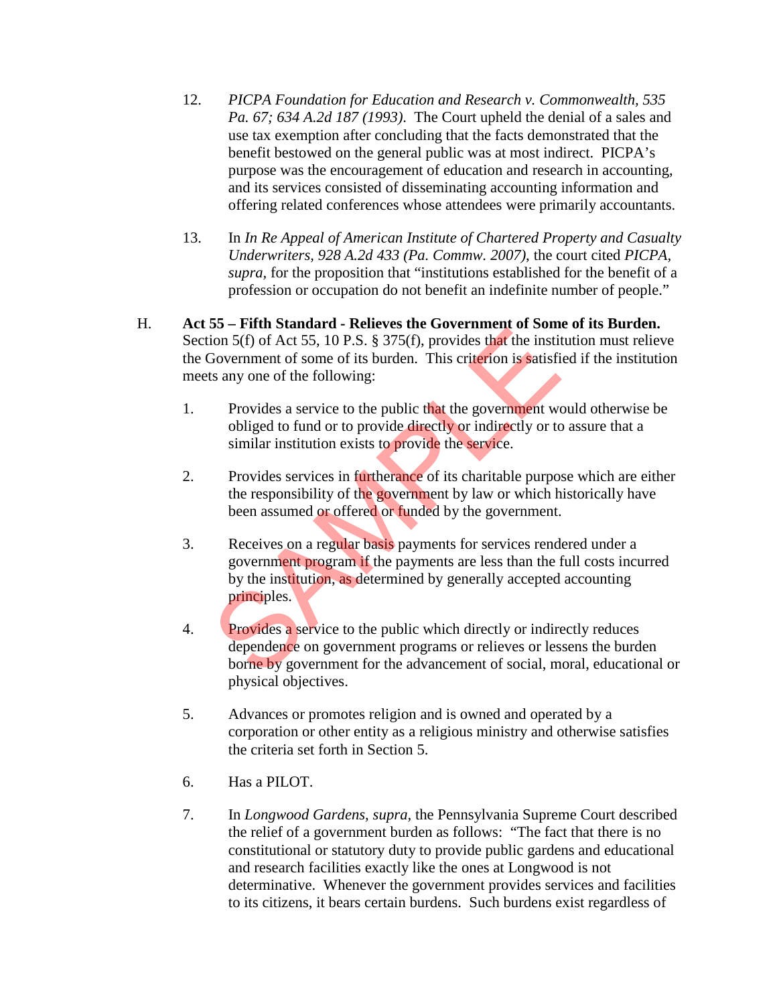- 12. *PICPA Foundation for Education and Research v. Commonwealth, 535 Pa. 67; 634 A.2d 187 (1993)*. The Court upheld the denial of a sales and use tax exemption after concluding that the facts demonstrated that the benefit bestowed on the general public was at most indirect. PICPA's purpose was the encouragement of education and research in accounting, and its services consisted of disseminating accounting information and offering related conferences whose attendees were primarily accountants.
- 13. In *In Re Appeal of American Institute of Chartered Property and Casualty Underwriters, 928 A.2d 433 (Pa. Commw. 2007)*, the court cited *PICPA, supra,* for the proposition that "institutions established for the benefit of a profession or occupation do not benefit an indefinite number of people."
- H. **Act 55 Fifth Standard Relieves the Government of Some of its Burden.**  Section 5(f) of Act 55, 10 P.S. § 375(f), provides that the institution must relieve the Government of some of its burden. This criterion is satisfied if the institution meets any one of the following:
	- 1. Provides a service to the public that the government would otherwise be obliged to fund or to provide directly or indirectly or to assure that a similar institution exists to provide the service.
	- 2. Provides services in furtherance of its charitable purpose which are either the responsibility of the government by law or which historically have been assumed or offered or funded by the government.
	- 3. Receives on a regular basis payments for services rendered under a government program if the payments are less than the full costs incurred by the institution, as determined by generally accepted accounting principles. From Butthery The Cover and Section 5(f) of Act 55, 10 P.S. § 375(f), provides that the institution of the following:<br>Solvernment of some of its burden. This criterion is satisficany one of the following:<br>Provides a servic
	- 4. Provides a service to the public which directly or indirectly reduces dependence on government programs or relieves or lessens the burden borne by government for the advancement of social, moral, educational or physical objectives.
	- 5. Advances or promotes religion and is owned and operated by a corporation or other entity as a religious ministry and otherwise satisfies the criteria set forth in Section 5.
	- 6. Has a PILOT.
	- 7. In *Longwood Gardens, supra,* the Pennsylvania Supreme Court described the relief of a government burden as follows: "The fact that there is no constitutional or statutory duty to provide public gardens and educational and research facilities exactly like the ones at Longwood is not determinative. Whenever the government provides services and facilities to its citizens, it bears certain burdens. Such burdens exist regardless of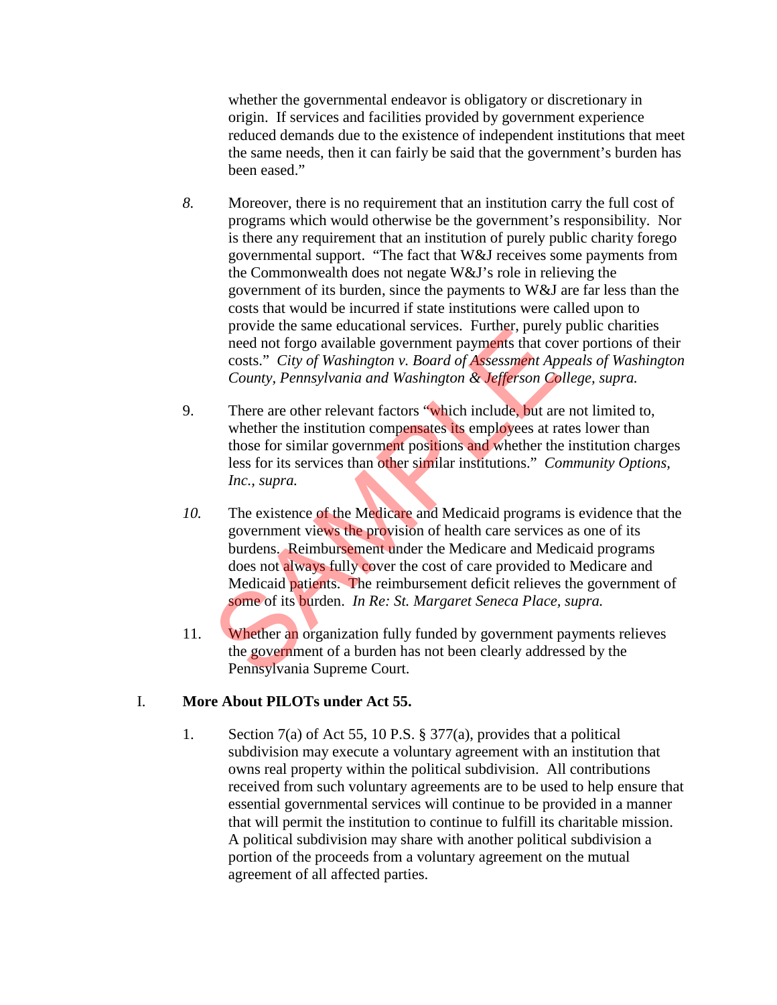whether the governmental endeavor is obligatory or discretionary in origin. If services and facilities provided by government experience reduced demands due to the existence of independent institutions that meet the same needs, then it can fairly be said that the government's burden has been eased."

- *8.* Moreover, there is no requirement that an institution carry the full cost of programs which would otherwise be the government's responsibility. Nor is there any requirement that an institution of purely public charity forego governmental support. "The fact that W&J receives some payments from the Commonwealth does not negate W&J's role in relieving the government of its burden, since the payments to W&J are far less than the costs that would be incurred if state institutions were called upon to provide the same educational services. Further, purely public charities need not forgo available government payments that cover portions of their costs." *City of Washington v. Board of Assessment Appeals of Washington County, Pennsylvania and Washington & Jefferson College, supra.*
- 9. There are other relevant factors "which include, but are not limited to, whether the institution compensates its employees at rates lower than those for similar government positions and whether the institution charges less for its services than other similar institutions." *Community Options, Inc., supra.*
- *10.* The existence of the Medicare and Medicaid programs is evidence that the government views the provision of health care services as one of its burdens. Reimbursement under the Medicare and Medicaid programs does not always fully cover the cost of care provided to Medicare and Medicaid patients. The reimbursement deficit relieves the government of some of its burden. *In Re: St. Margaret Seneca Place, supra.*  provide the same educational services. Futurel, pullery<br>need not forgo available government payments that cov<br>costs." *City of Washington v. Board of Assessment App*<br>*County, Pennsylvania and Washington & Jefferson Co*<br>The
- 11. Whether an organization fully funded by government payments relieves the government of a burden has not been clearly addressed by the Pennsylvania Supreme Court.

# I. **More About PILOTs under Act 55.**

1. Section 7(a) of Act 55, 10 P.S. § 377(a), provides that a political subdivision may execute a voluntary agreement with an institution that owns real property within the political subdivision. All contributions received from such voluntary agreements are to be used to help ensure that essential governmental services will continue to be provided in a manner that will permit the institution to continue to fulfill its charitable mission. A political subdivision may share with another political subdivision a portion of the proceeds from a voluntary agreement on the mutual agreement of all affected parties.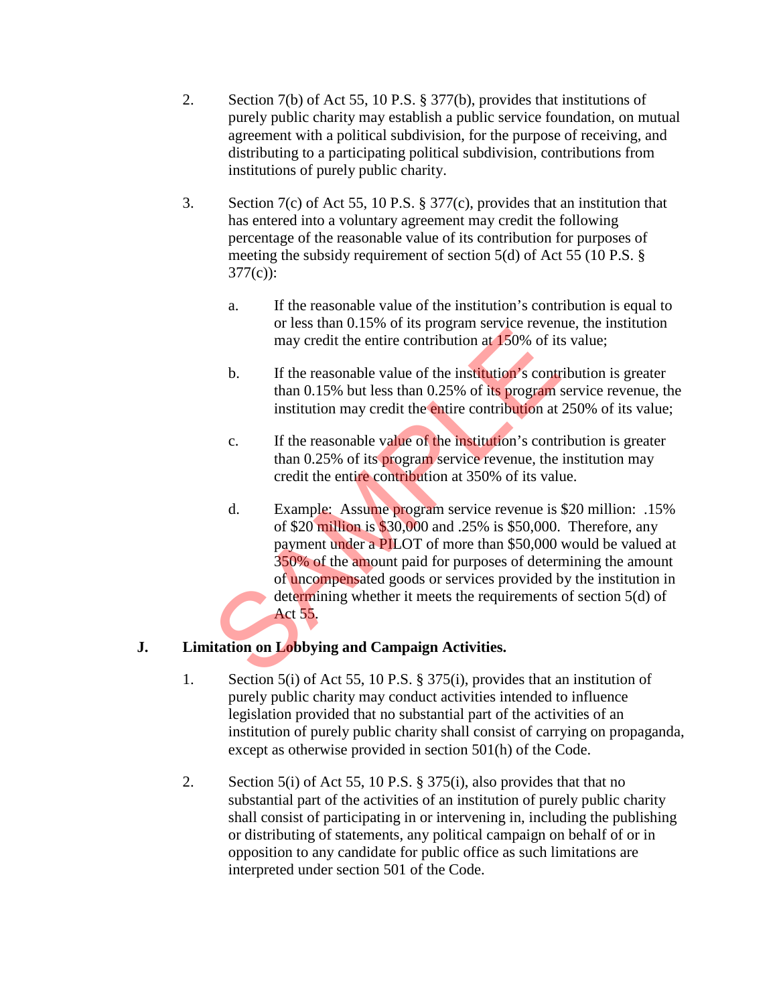- 2. Section 7(b) of Act 55, 10 P.S. § 377(b), provides that institutions of purely public charity may establish a public service foundation, on mutual agreement with a political subdivision, for the purpose of receiving, and distributing to a participating political subdivision, contributions from institutions of purely public charity.
- 3. Section 7(c) of Act 55, 10 P.S. § 377(c), provides that an institution that has entered into a voluntary agreement may credit the following percentage of the reasonable value of its contribution for purposes of meeting the subsidy requirement of section 5(d) of Act 55 (10 P.S. § 377(c)):
	- a. If the reasonable value of the institution's contribution is equal to or less than 0.15% of its program service revenue, the institution may credit the entire contribution at 150% of its value;
	- b. If the reasonable value of the institution's contribution is greater than 0.15% but less than 0.25% of its program service revenue, the institution may credit the entire contribution at 250% of its value;
	- c. If the reasonable value of the institution's contribution is greater than 0.25% of its **program** service revenue, the institution may credit the entire contribution at 350% of its value.
	- d. Example: Assume program service revenue is \$20 million: .15% of \$20 million is \$30,000 and .25% is \$50,000. Therefore, any payment under a PILOT of more than \$50,000 would be valued at 350% of the amount paid for purposes of determining the amount of uncompensated goods or services provided by the institution in determining whether it meets the requirements of section 5(d) of Act 55. of ress and 0.15% of as program service revenues<br>may credit the entire contribution at 150% of its<br>may credit the entire contribution at 150% of its<br>b. If the reasonable value of the institution's contr<br>than 0.25% but les

# **J. Limitation on Lobbying and Campaign Activities.**

- 1. Section 5(i) of Act 55, 10 P.S. § 375(i), provides that an institution of purely public charity may conduct activities intended to influence legislation provided that no substantial part of the activities of an institution of purely public charity shall consist of carrying on propaganda, except as otherwise provided in section 501(h) of the Code.
- 2. Section 5(i) of Act 55, 10 P.S. § 375(i), also provides that that no substantial part of the activities of an institution of purely public charity shall consist of participating in or intervening in, including the publishing or distributing of statements, any political campaign on behalf of or in opposition to any candidate for public office as such limitations are interpreted under section 501 of the Code.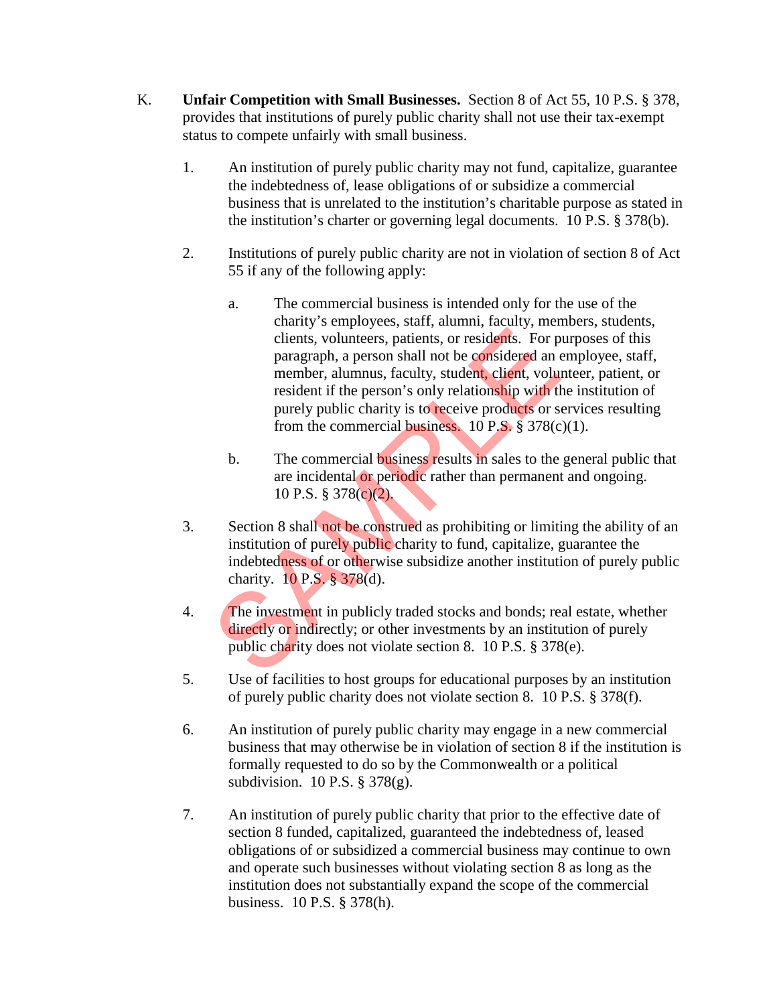- K. **Unfair Competition with Small Businesses.** Section 8 of Act 55, 10 P.S. § 378, provides that institutions of purely public charity shall not use their tax-exempt status to compete unfairly with small business.
	- 1. An institution of purely public charity may not fund, capitalize, guarantee the indebtedness of, lease obligations of or subsidize a commercial business that is unrelated to the institution's charitable purpose as stated in the institution's charter or governing legal documents. 10 P.S. § 378(b).
	- 2. Institutions of purely public charity are not in violation of section 8 of Act 55 if any of the following apply:
		- a. The commercial business is intended only for the use of the charity's employees, staff, alumni, faculty, members, students, clients, volunteers, patients, or residents. For purposes of this paragraph, a person shall not be considered an employee, staff, member, alumnus, faculty, student, client, volunteer, patient, or resident if the person's only relationship with the institution of purely public charity is to receive products or services resulting from the commercial business. 10 P.S.  $\S 378(c)(1)$ . clients, volunteers, patients, or residents. For p<br>paragraph, a person shall not be considered an member, alumnus, faculty, student, client, volunteers<br>incent if the person's only relationship with the purely public charit
			- b. The commercial business results in sales to the general public that are incidental or periodic rather than permanent and ongoing. 10 P.S. § 378(c)(2).
	- 3. Section 8 shall not be construed as prohibiting or limiting the ability of an institution of purely public charity to fund, capitalize, guarantee the indebtedness of or otherwise subsidize another institution of purely public charity. 10 P.S. § 378(d).
	- 4. The investment in publicly traded stocks and bonds; real estate, whether directly or indirectly; or other investments by an institution of purely public charity does not violate section 8. 10 P.S. § 378(e).
	- 5. Use of facilities to host groups for educational purposes by an institution of purely public charity does not violate section 8. 10 P.S. § 378(f).
	- 6. An institution of purely public charity may engage in a new commercial business that may otherwise be in violation of section 8 if the institution is formally requested to do so by the Commonwealth or a political subdivision. 10 P.S. § 378(g).
	- 7. An institution of purely public charity that prior to the effective date of section 8 funded, capitalized, guaranteed the indebtedness of, leased obligations of or subsidized a commercial business may continue to own and operate such businesses without violating section 8 as long as the institution does not substantially expand the scope of the commercial business. 10 P.S. § 378(h).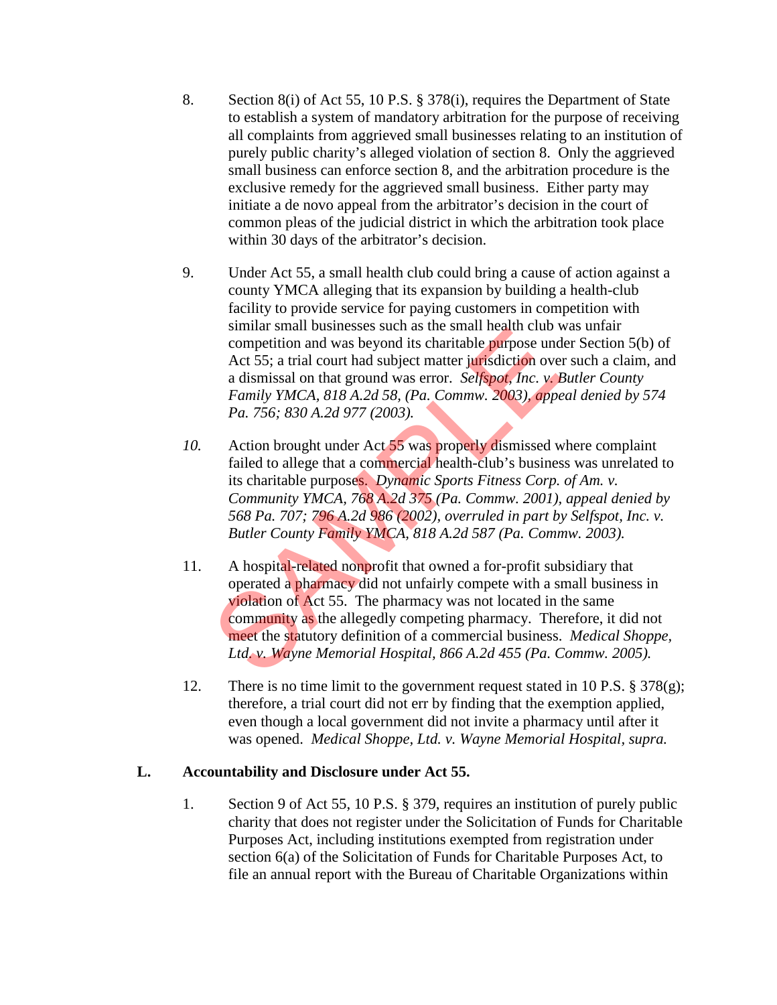- 8. Section 8(i) of Act 55, 10 P.S. § 378(i), requires the Department of State to establish a system of mandatory arbitration for the purpose of receiving all complaints from aggrieved small businesses relating to an institution of purely public charity's alleged violation of section 8. Only the aggrieved small business can enforce section 8, and the arbitration procedure is the exclusive remedy for the aggrieved small business. Either party may initiate a de novo appeal from the arbitrator's decision in the court of common pleas of the judicial district in which the arbitration took place within 30 days of the arbitrator's decision.
- 9. Under Act 55, a small health club could bring a cause of action against a county YMCA alleging that its expansion by building a health-club facility to provide service for paying customers in competition with similar small businesses such as the small health club was unfair competition and was beyond its charitable purpose under Section 5(b) of Act 55; a trial court had subject matter jurisdiction over such a claim, and a dismissal on that ground was error. *Selfspot, Inc. v. Butler County Family YMCA, 818 A.2d 58, (Pa. Commw. 2003), appeal denied by 574 Pa. 756; 830 A.2d 977 (2003).*
- *10.* Action brought under Act 55 was properly dismissed where complaint failed to allege that a commercial health-club's business was unrelated to its charitable purposes. *Dynamic Sports Fitness Corp. of Am. v. Community YMCA, 768 A.2d 375 (Pa. Commw. 2001), appeal denied by 568 Pa. 707; 796 A.2d 986 (2002), overruled in part by Selfspot, Inc. v. Butler County Family YMCA, 818 A.2d 587 (Pa. Commw. 2003).*
- 11. A hospital-related nonprofit that owned a for-profit subsidiary that operated a pharmacy did not unfairly compete with a small business in violation of Act 55. The pharmacy was not located in the same community as the allegedly competing pharmacy. Therefore, it did not meet the statutory definition of a commercial business. *Medical Shoppe, Ltd. v. Wayne Memorial Hospital, 866 A.2d 455 (Pa. Commw. 2005).* sinina sinan businesses such as the sinan heath club v<br>competition and was beyond its charitable purpose und<br>Act 55; a trial court had subject matter jurisdiction over<br>a dismissal on that ground was error. *Selfspot, Inc.*
- 12. There is no time limit to the government request stated in 10 P.S. § 378(g); therefore, a trial court did not err by finding that the exemption applied, even though a local government did not invite a pharmacy until after it was opened. *Medical Shoppe, Ltd. v. Wayne Memorial Hospital, supra.*

# **L. Accountability and Disclosure under Act 55.**

1. Section 9 of Act 55, 10 P.S. § 379, requires an institution of purely public charity that does not register under the Solicitation of Funds for Charitable Purposes Act, including institutions exempted from registration under section 6(a) of the Solicitation of Funds for Charitable Purposes Act, to file an annual report with the Bureau of Charitable Organizations within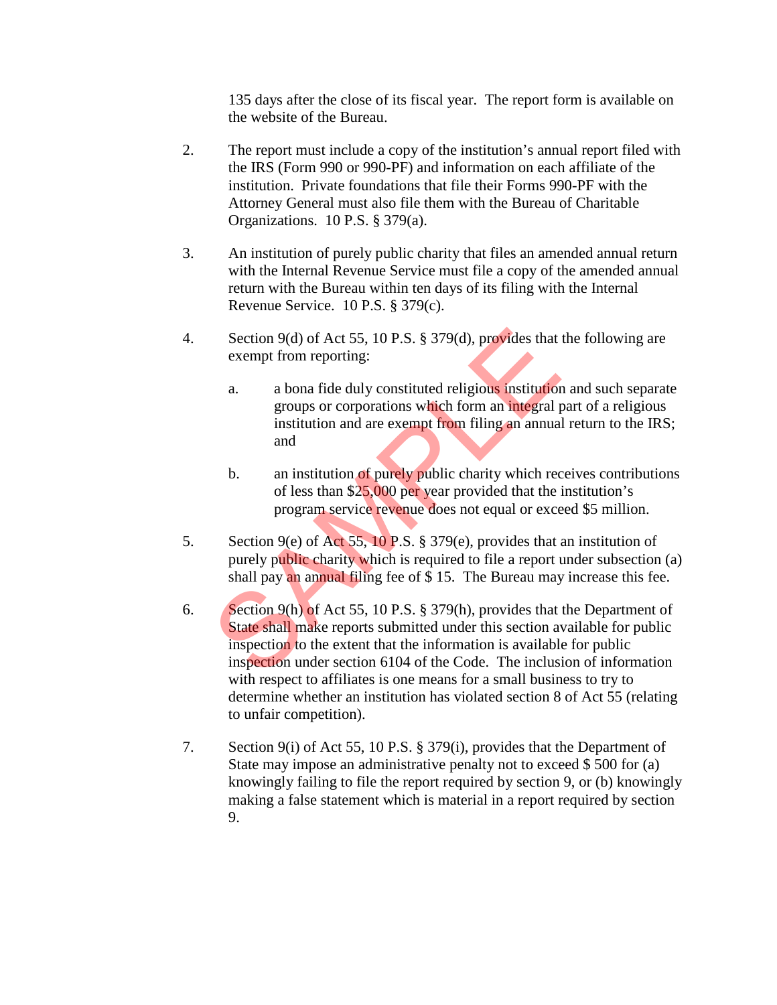135 days after the close of its fiscal year. The report form is available on the website of the Bureau.

- 2. The report must include a copy of the institution's annual report filed with the IRS (Form 990 or 990-PF) and information on each affiliate of the institution. Private foundations that file their Forms 990-PF with the Attorney General must also file them with the Bureau of Charitable Organizations. 10 P.S. § 379(a).
- 3. An institution of purely public charity that files an amended annual return with the Internal Revenue Service must file a copy of the amended annual return with the Bureau within ten days of its filing with the Internal Revenue Service. 10 P.S. § 379(c).
- 4. Section 9(d) of Act 55, 10 P.S. § 379(d), provides that the following are exempt from reporting:
	- a. a bona fide duly constituted religious institution and such separate groups or corporations which form an integral part of a religious institution and are exempt from filing an annual return to the IRS; and
	- b. an institution of purely public charity which receives contributions of less than \$25,000 per year provided that the institution's program service revenue does not equal or exceed \$5 million.
- 5. Section 9(e) of Act 55, 10 P.S. § 379(e), provides that an institution of purely public charity which is required to file a report under subsection (a) shall pay an annual filing fee of \$ 15. The Bureau may increase this fee.
- 6. Section 9(h) of Act 55, 10 P.S. § 379(h), provides that the Department of State shall make reports submitted under this section available for public inspection to the extent that the information is available for public inspection under section 6104 of the Code. The inclusion of information with respect to affiliates is one means for a small business to try to determine whether an institution has violated section 8 of Act 55 (relating to unfair competition). Section 9(d) of Act 55, 10 P.S. § 379(d), provides that<br>exempt from reporting:<br>a. a bona fide duly constituted religious institution<br>groups or corporations which form an integral p<br>institution and are exempt from filing a
- 7. Section 9(i) of Act 55, 10 P.S. § 379(i), provides that the Department of State may impose an administrative penalty not to exceed \$ 500 for (a) knowingly failing to file the report required by section 9, or (b) knowingly making a false statement which is material in a report required by section 9.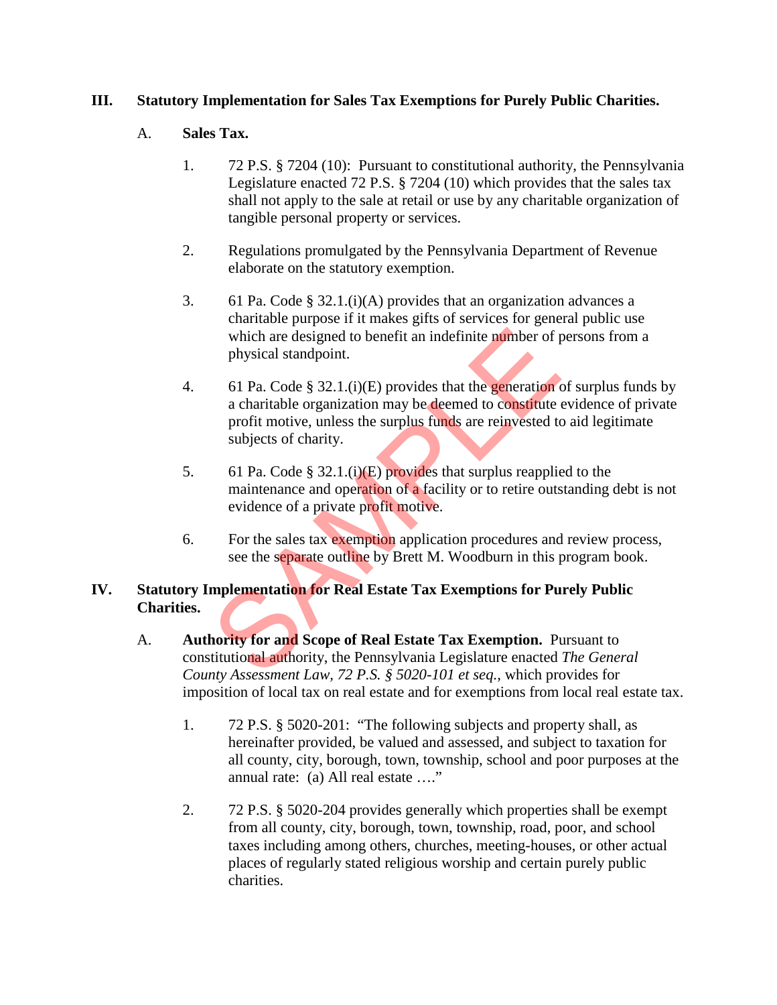## **III. Statutory Implementation for Sales Tax Exemptions for Purely Public Charities.**

#### A. **Sales Tax.**

- 1. 72 P.S. § 7204 (10): Pursuant to constitutional authority, the Pennsylvania Legislature enacted 72 P.S. § 7204 (10) which provides that the sales tax shall not apply to the sale at retail or use by any charitable organization of tangible personal property or services.
- 2. Regulations promulgated by the Pennsylvania Department of Revenue elaborate on the statutory exemption.
- 3. 61 Pa. Code § 32.1.(i)(A) provides that an organization advances a charitable purpose if it makes gifts of services for general public use which are designed to benefit an indefinite number of persons from a physical standpoint.
- 4. 61 Pa. Code § 32.1.(i)(E) provides that the generation of surplus funds by a charitable organization may be deemed to constitute evidence of private profit motive, unless the surplus funds are reinvested to aid legitimate subjects of charity. which are designed to benefit an indefinite number of p<br>hysical standpoint.<br>61 Pa. Code § 32.1.(i)(E) provides that the **generation** a<br>charitable organization may be deemed to constitute profit motive, unless the surplus
- 5. 61 Pa. Code § 32.1.(i)(E) provides that surplus reapplied to the maintenance and operation of a facility or to retire outstanding debt is not evidence of a private profit motive.
- 6. For the sales tax exemption application procedures and review process, see the separate outline by Brett M. Woodburn in this program book.

# **IV. Statutory Implementation for Real Estate Tax Exemptions for Purely Public Charities.**

- A. **Authority for and Scope of Real Estate Tax Exemption.** Pursuant to constitutional authority, the Pennsylvania Legislature enacted *The General County Assessment Law, 72 P.S. § 5020-101 et seq.,* which provides for imposition of local tax on real estate and for exemptions from local real estate tax.
	- 1. 72 P.S. § 5020-201: "The following subjects and property shall, as hereinafter provided, be valued and assessed, and subject to taxation for all county, city, borough, town, township, school and poor purposes at the annual rate: (a) All real estate …."
	- 2. 72 P.S. § 5020-204 provides generally which properties shall be exempt from all county, city, borough, town, township, road, poor, and school taxes including among others, churches, meeting-houses, or other actual places of regularly stated religious worship and certain purely public charities.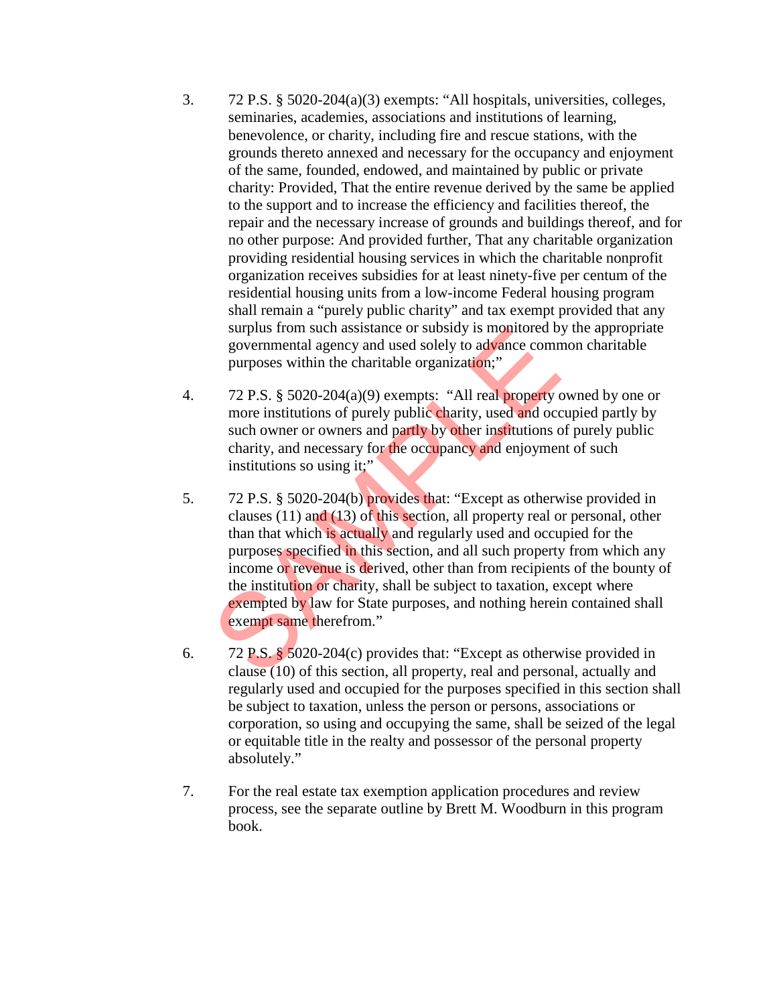- 3. 72 P.S. § 5020-204(a)(3) exempts: "All hospitals, universities, colleges, seminaries, academies, associations and institutions of learning, benevolence, or charity, including fire and rescue stations, with the grounds thereto annexed and necessary for the occupancy and enjoyment of the same, founded, endowed, and maintained by public or private charity: Provided, That the entire revenue derived by the same be applied to the support and to increase the efficiency and facilities thereof, the repair and the necessary increase of grounds and buildings thereof, and for no other purpose: And provided further, That any charitable organization providing residential housing services in which the charitable nonprofit organization receives subsidies for at least ninety-five per centum of the residential housing units from a low-income Federal housing program shall remain a "purely public charity" and tax exempt provided that any surplus from such assistance or subsidy is monitored by the appropriate governmental agency and used solely to advance common charitable purposes within the charitable organization;"
- 4. 72 P.S. § 5020-204(a)(9) exempts: "All real property owned by one or more institutions of purely public charity, used and occupied partly by such owner or owners and partly by other institutions of purely public charity, and necessary for the occupancy and enjoyment of such institutions so using it;"
- 5. 72 P.S. § 5020-204(b) provides that: "Except as otherwise provided in clauses (11) and (13) of this section, all property real or personal, other than that which is actually and regularly used and occupied for the purposes specified in this section, and all such property from which any income or revenue is derived, other than from recipients of the bounty of the institution or charity, shall be subject to taxation, except where exempted by law for State purposes, and nothing herein contained shall exempt same therefrom." surplus from such assistance or subsidy is monitored by<br>governmental agency and used solely to advance comm<br>purposes within the charitable organization;"<br>72 P.S. § 5020-204(a)(9) exempts: "All real property of<br>more instit
- 6. 72 P.S. § 5020-204(c) provides that: "Except as otherwise provided in clause (10) of this section, all property, real and personal, actually and regularly used and occupied for the purposes specified in this section shall be subject to taxation, unless the person or persons, associations or corporation, so using and occupying the same, shall be seized of the legal or equitable title in the realty and possessor of the personal property absolutely."
- 7. For the real estate tax exemption application procedures and review process, see the separate outline by Brett M. Woodburn in this program book.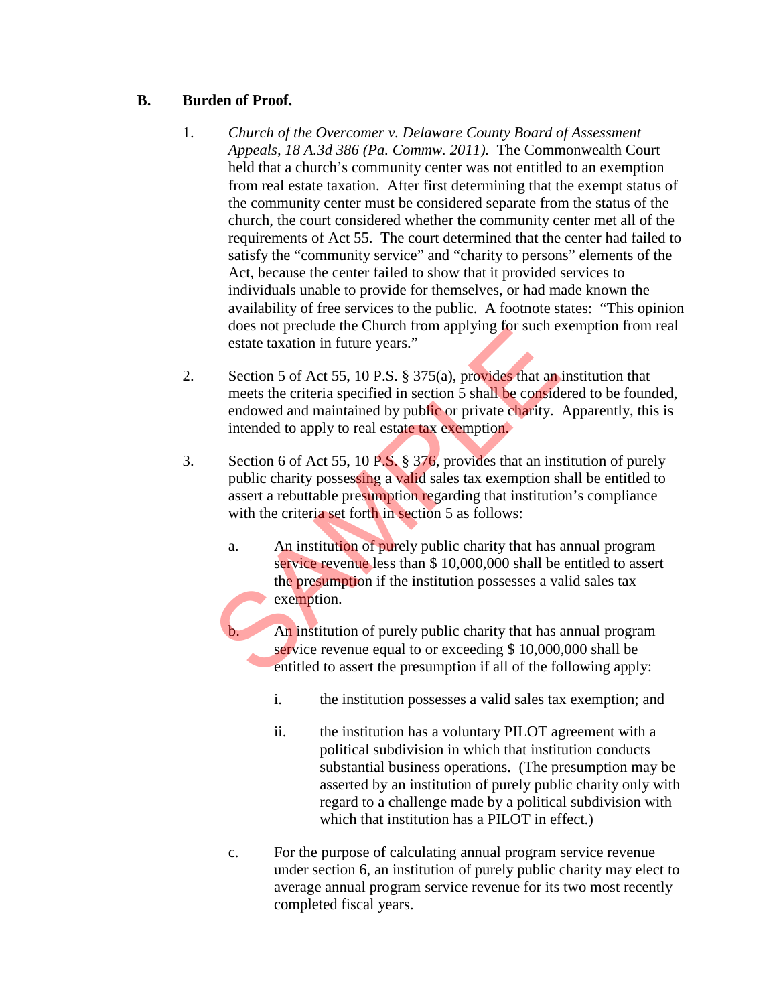# **B. Burden of Proof.**

- 1. *Church of the Overcomer v. Delaware County Board of Assessment Appeals, 18 A.3d 386 (Pa. Commw. 2011).* The Commonwealth Court held that a church's community center was not entitled to an exemption from real estate taxation. After first determining that the exempt status of the community center must be considered separate from the status of the church, the court considered whether the community center met all of the requirements of Act 55. The court determined that the center had failed to satisfy the "community service" and "charity to persons" elements of the Act, because the center failed to show that it provided services to individuals unable to provide for themselves, or had made known the availability of free services to the public. A footnote states: "This opinion does not preclude the Church from applying for such exemption from real estate taxation in future years."
- 2. Section 5 of Act 55, 10 P.S. § 375(a), provides that an institution that meets the criteria specified in section 5 shall be considered to be founded, endowed and maintained by public or private charity. Apparently, this is intended to apply to real estate tax exemption. does not preclude the Children of applying to such existent taxation in future years."<br>Section 5 of Act 55, 10 P.S. § 375(a), provides that an<br>meets the criteria specified in section 5 shall be considered<br>owed and maintain
- 3. Section 6 of Act 55, 10 P.S. § 376, provides that an institution of purely public charity possessing a valid sales tax exemption shall be entitled to assert a rebuttable presumption regarding that institution's compliance with the criteria set forth in section 5 as follows:
	- a. An institution of purely public charity that has annual program service revenue less than \$ 10,000,000 shall be entitled to assert the presumption if the institution possesses a valid sales tax exemption.
		- An institution of purely public charity that has annual program service revenue equal to or exceeding \$ 10,000,000 shall be entitled to assert the presumption if all of the following apply:
			- i. the institution possesses a valid sales tax exemption; and
			- ii. the institution has a voluntary PILOT agreement with a political subdivision in which that institution conducts substantial business operations. (The presumption may be asserted by an institution of purely public charity only with regard to a challenge made by a political subdivision with which that institution has a PILOT in effect.)
	- c. For the purpose of calculating annual program service revenue under section 6, an institution of purely public charity may elect to average annual program service revenue for its two most recently completed fiscal years.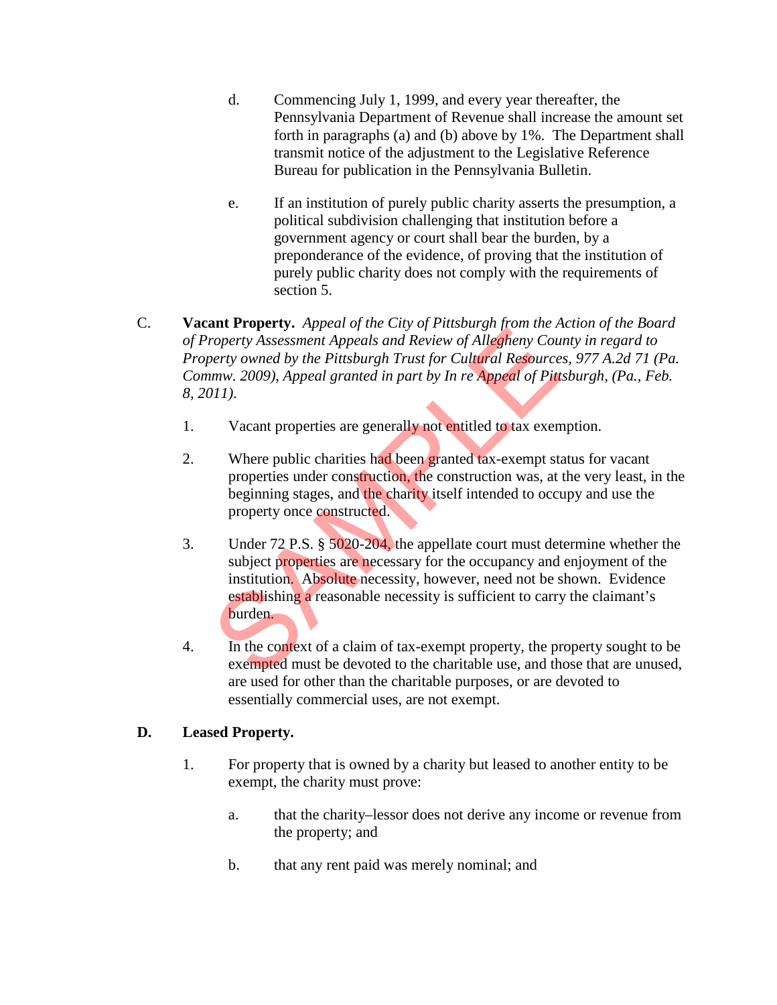- d. Commencing July 1, 1999, and every year thereafter, the Pennsylvania Department of Revenue shall increase the amount set forth in paragraphs (a) and (b) above by 1%. The Department shall transmit notice of the adjustment to the Legislative Reference Bureau for publication in the Pennsylvania Bulletin.
- e. If an institution of purely public charity asserts the presumption, a political subdivision challenging that institution before a government agency or court shall bear the burden, by a preponderance of the evidence, of proving that the institution of purely public charity does not comply with the requirements of section 5.
- C. **Vacant Property.** *Appeal of the City of Pittsburgh from the Action of the Board of Property Assessment Appeals and Review of Allegheny County in regard to Property owned by the Pittsburgh Trust for Cultural Resources, 977 A.2d 71 (Pa. Commw. 2009), Appeal granted in part by In re Appeal of Pittsburgh, (Pa., Feb. 8, 2011)*.
	- 1. Vacant properties are generally not entitled to tax exemption.
	- 2. Where public charities had been granted tax-exempt status for vacant properties under construction, the construction was, at the very least, in the beginning stages, and the charity itself intended to occupy and use the property once constructed.
	- 3. Under 72 P.S. § 5020-204, the appellate court must determine whether the subject properties are necessary for the occupancy and enjoyment of the institution. Absolute necessity, however, need not be shown. Evidence establishing a reasonable necessity is sufficient to carry the claimant's burden. and Triversity. The contract and Review of Allegheny Concerty Assessment Applear and Review of Allegheny Countrine Control of Details and Review of Allegheny Country word by the Pittsburgh Trust for Cultural Resource time.
	- 4. In the context of a claim of tax-exempt property, the property sought to be exempted must be devoted to the charitable use, and those that are unused, are used for other than the charitable purposes, or are devoted to essentially commercial uses, are not exempt.

# **D. Leased Property.**

- 1. For property that is owned by a charity but leased to another entity to be exempt, the charity must prove:
	- a. that the charity–lessor does not derive any income or revenue from the property; and
	- b. that any rent paid was merely nominal; and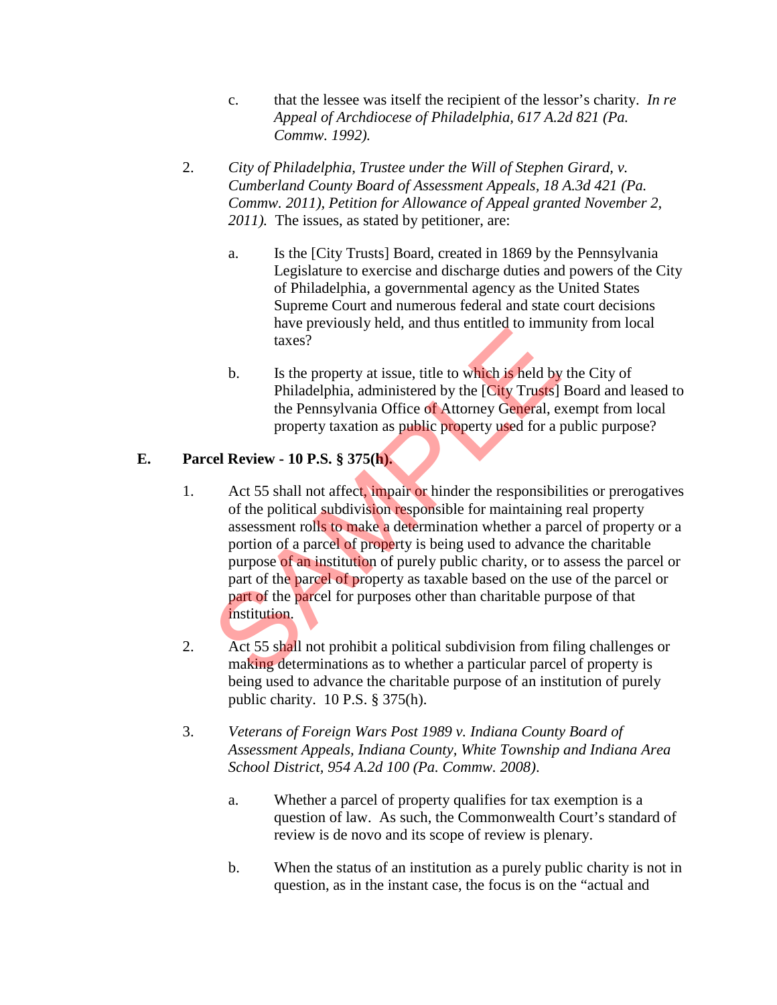- c. that the lessee was itself the recipient of the lessor's charity. *In re Appeal of Archdiocese of Philadelphia, 617 A.2d 821 (Pa. Commw. 1992).*
- 2. *City of Philadelphia, Trustee under the Will of Stephen Girard, v. Cumberland County Board of Assessment Appeals, 18 A.3d 421 (Pa. Commw. 2011), Petition for Allowance of Appeal granted November 2, 2011).* The issues, as stated by petitioner, are:
	- a. Is the [City Trusts] Board, created in 1869 by the Pennsylvania Legislature to exercise and discharge duties and powers of the City of Philadelphia, a governmental agency as the United States Supreme Court and numerous federal and state court decisions have previously held, and thus entitled to immunity from local taxes?
	- b. Is the property at issue, title to which is held by the City of Philadelphia, administered by the [City Trusts] Board and leased to the Pennsylvania Office of Attorney General, exempt from local property taxation as public property used for a public purpose?

# **E. Parcel Review - 10 P.S. § 375(h).**

- 1. Act 55 shall not affect, impair or hinder the responsibilities or prerogatives of the political subdivision responsible for maintaining real property assessment rolls to make a determination whether a parcel of property or a portion of a parcel of property is being used to advance the charitable purpose of an institution of purely public charity, or to assess the parcel or part of the parcel of property as taxable based on the use of the parcel or part of the parcel for purposes other than charitable purpose of that institution. and taxes?<br>
b. Is the property at issue, title to which is held by<br>
Philadelphia, administered by the [City Trusts]<br>
the Pennsylvania Office of Attorney General, e.<br>
property taxation as public property used for a p<br>
cel R
- 2. Act 55 shall not prohibit a political subdivision from filing challenges or making determinations as to whether a particular parcel of property is being used to advance the charitable purpose of an institution of purely public charity. 10 P.S. § 375(h).
- 3. *Veterans of Foreign Wars Post 1989 v. Indiana County Board of Assessment Appeals, Indiana County, White Township and Indiana Area School District, 954 A.2d 100 (Pa. Commw. 2008)*.
	- a. Whether a parcel of property qualifies for tax exemption is a question of law. As such, the Commonwealth Court's standard of review is de novo and its scope of review is plenary.
	- b. When the status of an institution as a purely public charity is not in question, as in the instant case, the focus is on the "actual and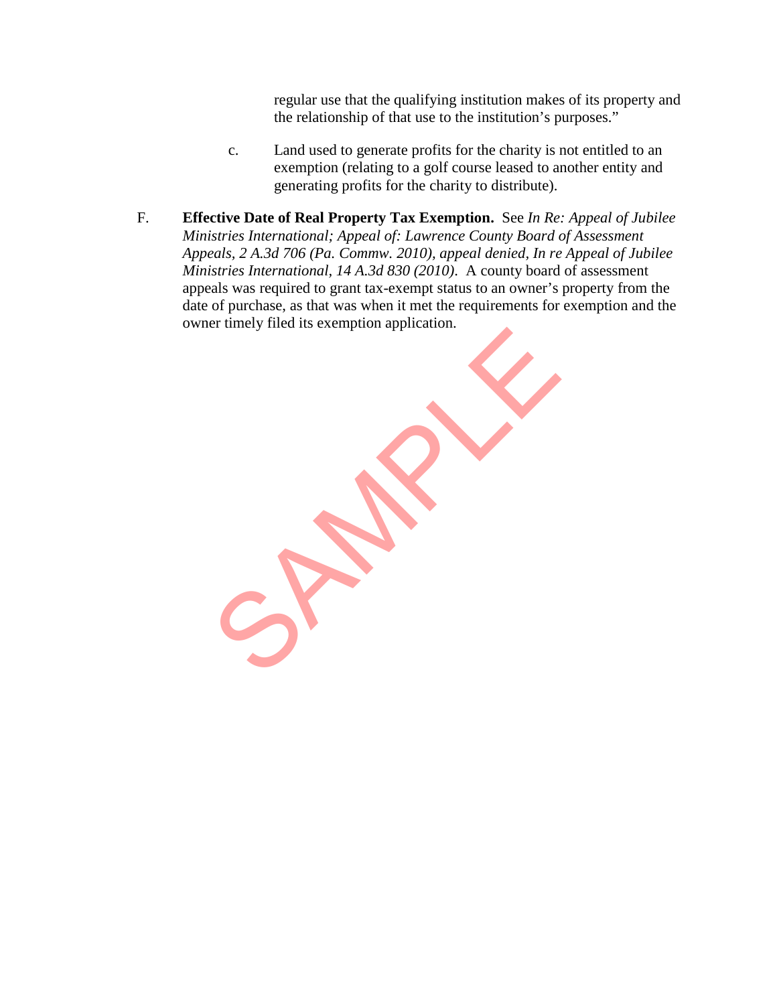regular use that the qualifying institution makes of its property and the relationship of that use to the institution's purposes."

- c. Land used to generate profits for the charity is not entitled to an exemption (relating to a golf course leased to another entity and generating profits for the charity to distribute).
- F. **Effective Date of Real Property Tax Exemption.** See *In Re: Appeal of Jubilee Ministries International; Appeal of: Lawrence County Board of Assessment Appeals, 2 A.3d 706 (Pa. Commw. 2010), appeal denied, In re Appeal of Jubilee Ministries International, 14 A.3d 830 (2010)*. A county board of assessment appeals was required to grant tax-exempt status to an owner's property from the date of purchase, as that was when it met the requirements for exemption and the owner timely filed its exemption application.

SPRANE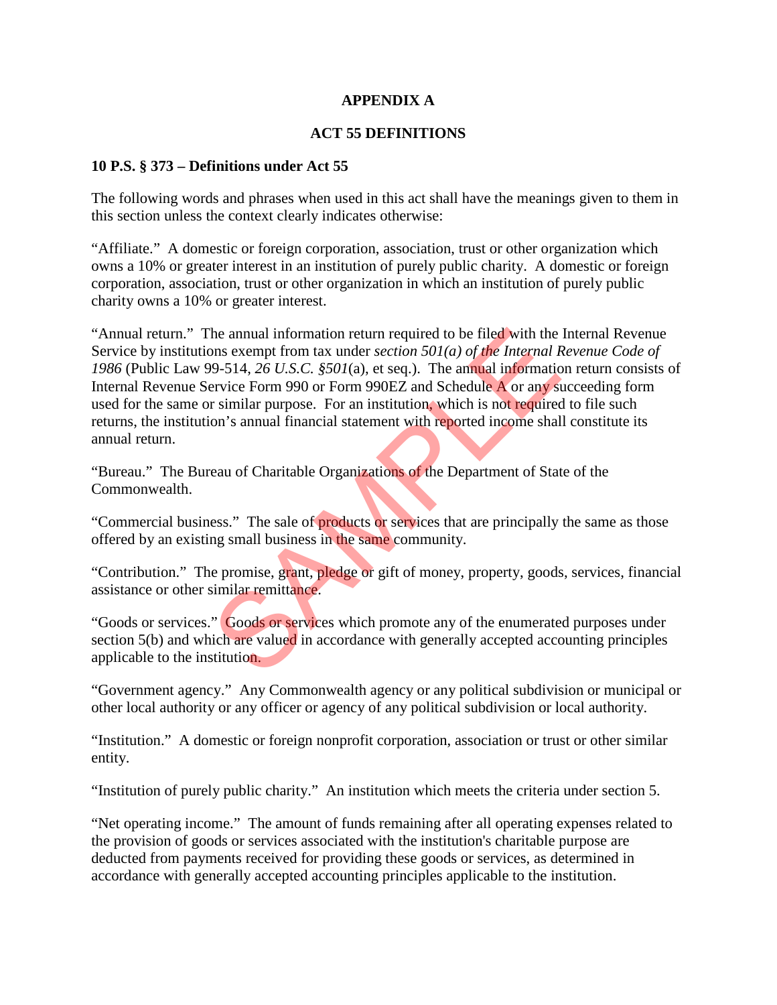# **APPENDIX A**

#### **ACT 55 DEFINITIONS**

#### **10 P.S. § 373 – Definitions under Act 55**

The following words and phrases when used in this act shall have the meanings given to them in this section unless the context clearly indicates otherwise:

"Affiliate." A domestic or foreign corporation, association, trust or other organization which owns a 10% or greater interest in an institution of purely public charity. A domestic or foreign corporation, association, trust or other organization in which an institution of purely public charity owns a 10% or greater interest.

"Annual return." The annual information return required to be filed with the Internal Revenue Service by institutions exempt from tax under *section 501(a) of the Internal Revenue Code of 1986* (Public Law 99-514, *26 U.S.C. §501*(a), et seq.). The annual information return consists of Internal Revenue Service Form 990 or Form 990EZ and Schedule A or any succeeding form used for the same or similar purpose. For an institution, which is not required to file such returns, the institution's annual financial statement with reported income shall constitute its annual return. The annual information return required to be filed with the<br>ons exempt from tax under *section 501(a) of the Internal F*<br>99-514, 26 *U.S.C.* §501(a), et seq.). The annual informatic<br>ervice Form 990 or Form 990EZ and Sched

"Bureau." The Bureau of Charitable Organizations of the Department of State of the Commonwealth.

"Commercial business." The sale of **products** or services that are principally the same as those offered by an existing small business in the same community.

"Contribution." The promise, grant, pledge or gift of money, property, goods, services, financial assistance or other similar remittance.

"Goods or services." Goods or services which promote any of the enumerated purposes under section 5(b) and which are valued in accordance with generally accepted accounting principles applicable to the institution.

"Government agency." Any Commonwealth agency or any political subdivision or municipal or other local authority or any officer or agency of any political subdivision or local authority.

"Institution." A domestic or foreign nonprofit corporation, association or trust or other similar entity.

"Institution of purely public charity." An institution which meets the criteria under section 5.

"Net operating income." The amount of funds remaining after all operating expenses related to the provision of goods or services associated with the institution's charitable purpose are deducted from payments received for providing these goods or services, as determined in accordance with generally accepted accounting principles applicable to the institution.